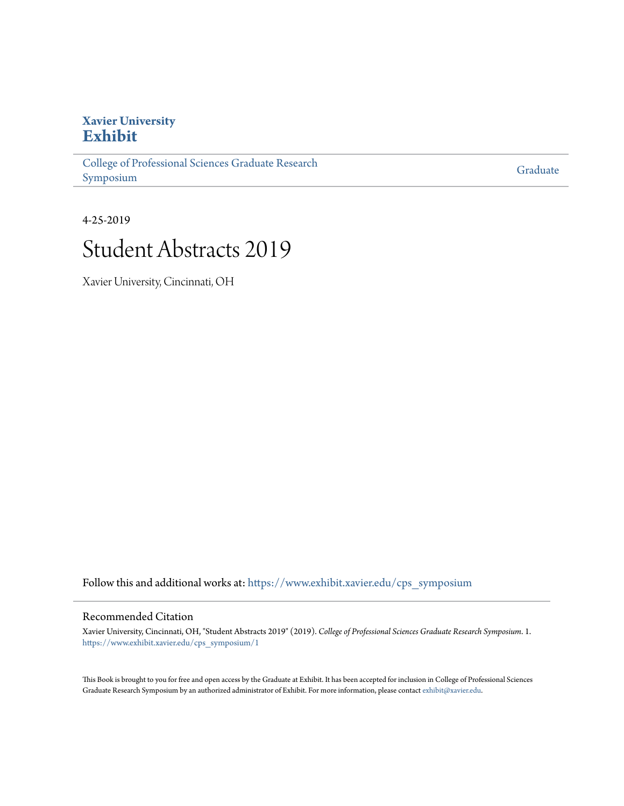## **Xavier University [Exhibit](https://www.exhibit.xavier.edu/?utm_source=www.exhibit.xavier.edu%2Fcps_symposium%2F1&utm_medium=PDF&utm_campaign=PDFCoverPages)**

[College of Professional Sciences Graduate Research](https://www.exhibit.xavier.edu/cps_symposium?utm_source=www.exhibit.xavier.edu%2Fcps_symposium%2F1&utm_medium=PDF&utm_campaign=PDFCoverPages) [Symposium](https://www.exhibit.xavier.edu/cps_symposium?utm_source=www.exhibit.xavier.edu%2Fcps_symposium%2F1&utm_medium=PDF&utm_campaign=PDFCoverPages)

[Graduate](https://www.exhibit.xavier.edu/graduate?utm_source=www.exhibit.xavier.edu%2Fcps_symposium%2F1&utm_medium=PDF&utm_campaign=PDFCoverPages)

4-25-2019

## Student Abstracts 2019

Xavier University, Cincinnati, OH

Follow this and additional works at: [https://www.exhibit.xavier.edu/cps\\_symposium](https://www.exhibit.xavier.edu/cps_symposium?utm_source=www.exhibit.xavier.edu%2Fcps_symposium%2F1&utm_medium=PDF&utm_campaign=PDFCoverPages)

#### Recommended Citation

Xavier University, Cincinnati, OH, "Student Abstracts 2019" (2019). *College of Professional Sciences Graduate Research Symposium*. 1. [https://www.exhibit.xavier.edu/cps\\_symposium/1](https://www.exhibit.xavier.edu/cps_symposium/1?utm_source=www.exhibit.xavier.edu%2Fcps_symposium%2F1&utm_medium=PDF&utm_campaign=PDFCoverPages)

This Book is brought to you for free and open access by the Graduate at Exhibit. It has been accepted for inclusion in College of Professional Sciences Graduate Research Symposium by an authorized administrator of Exhibit. For more information, please contact [exhibit@xavier.edu](mailto:exhibit@xavier.edu).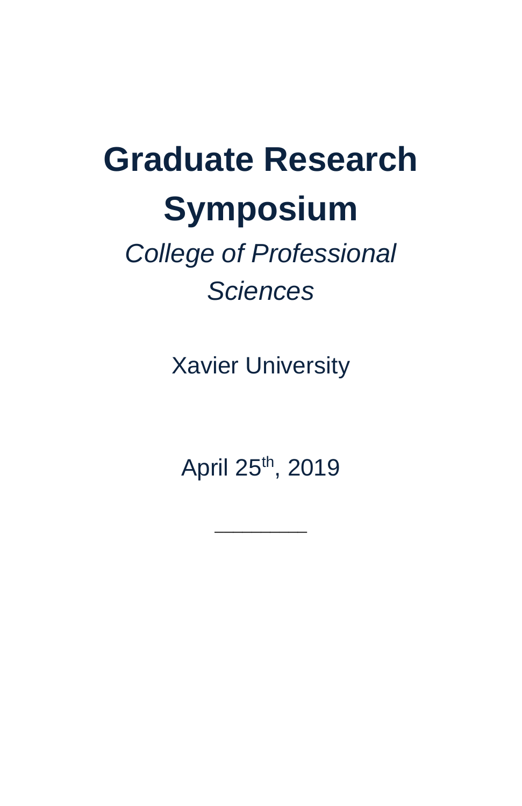# **Graduate Research Symposium**

# *College of Professional Sciences*

Xavier University

April 25th, 2019

 $\overline{\phantom{a}}$  , where  $\overline{\phantom{a}}$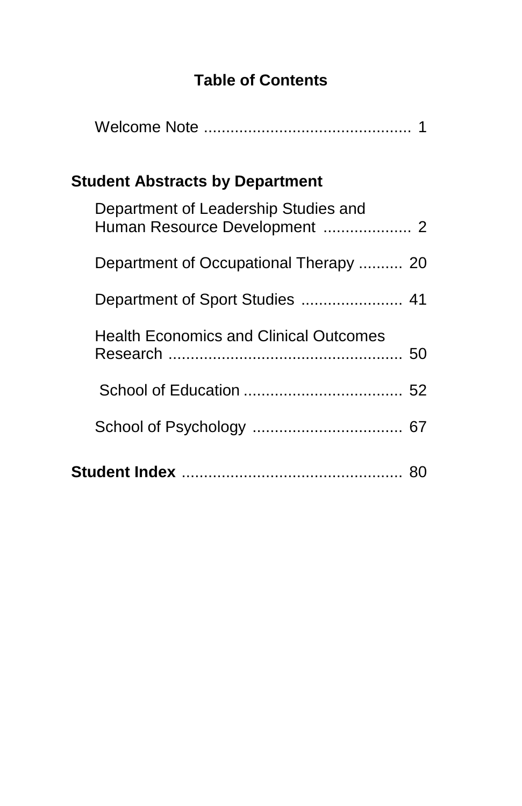### **Table of Contents**

| Student Abstracts by Department |                                                                       |  |
|---------------------------------|-----------------------------------------------------------------------|--|
|                                 | Department of Leadership Studies and<br>Human Resource Development  2 |  |
|                                 | Department of Occupational Therapy  20                                |  |
|                                 |                                                                       |  |
|                                 | <b>Health Economics and Clinical Outcomes</b>                         |  |
|                                 |                                                                       |  |
|                                 |                                                                       |  |
|                                 |                                                                       |  |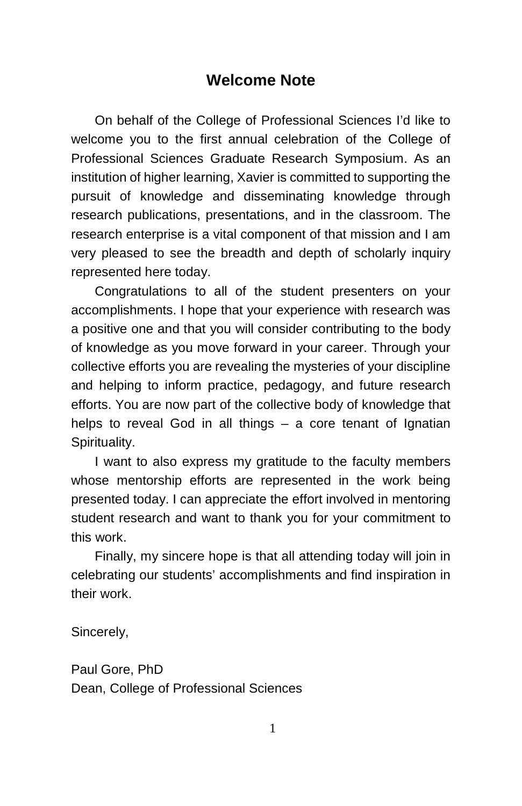#### **Welcome Note**

On behalf of the College of Professional Sciences I'd like to welcome you to the first annual celebration of the College of Professional Sciences Graduate Research Symposium. As an institution of higher learning, Xavier is committed to supporting the pursuit of knowledge and disseminating knowledge through research publications, presentations, and in the classroom. The research enterprise is a vital component of that mission and I am very pleased to see the breadth and depth of scholarly inquiry represented here today.

Congratulations to all of the student presenters on your accomplishments. I hope that your experience with research was a positive one and that you will consider contributing to the body of knowledge as you move forward in your career. Through your collective efforts you are revealing the mysteries of your discipline and helping to inform practice, pedagogy, and future research efforts. You are now part of the collective body of knowledge that helps to reveal God in all things – a core tenant of Ignatian Spirituality.

I want to also express my gratitude to the faculty members whose mentorship efforts are represented in the work being presented today. I can appreciate the effort involved in mentoring student research and want to thank you for your commitment to this work.

Finally, my sincere hope is that all attending today will join in celebrating our students' accomplishments and find inspiration in their work.

Sincerely,

Paul Gore, PhD Dean, College of Professional Sciences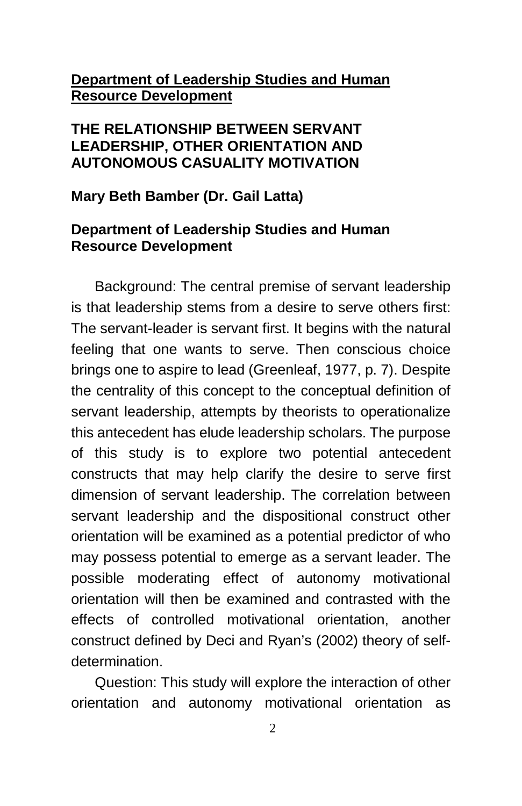#### **Department of Leadership Studies and Human Resource Development**

#### **THE RELATIONSHIP BETWEEN SERVANT LEADERSHIP, OTHER ORIENTATION AND AUTONOMOUS CASUALITY MOTIVATION**

#### **Mary Beth Bamber (Dr. Gail Latta)**

#### **Department of Leadership Studies and Human Resource Development**

Background: The central premise of servant leadership is that leadership stems from a desire to serve others first: The servant-leader is servant first. It begins with the natural feeling that one wants to serve. Then conscious choice brings one to aspire to lead (Greenleaf, 1977, p. 7). Despite the centrality of this concept to the conceptual definition of servant leadership, attempts by theorists to operationalize this antecedent has elude leadership scholars. The purpose of this study is to explore two potential antecedent constructs that may help clarify the desire to serve first dimension of servant leadership. The correlation between servant leadership and the dispositional construct other orientation will be examined as a potential predictor of who may possess potential to emerge as a servant leader. The possible moderating effect of autonomy motivational orientation will then be examined and contrasted with the effects of controlled motivational orientation, another construct defined by Deci and Ryan's (2002) theory of selfdetermination.

Question: This study will explore the interaction of other orientation and autonomy motivational orientation as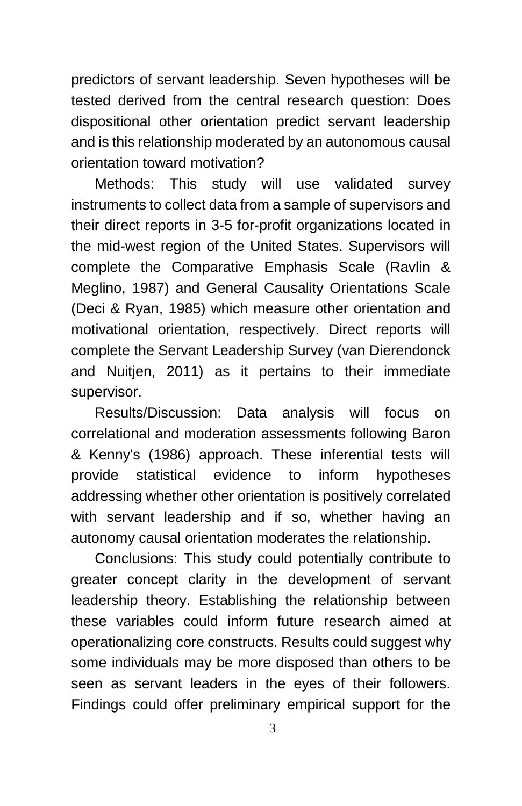predictors of servant leadership. Seven hypotheses will be tested derived from the central research question: Does dispositional other orientation predict servant leadership and is this relationship moderated by an autonomous causal orientation toward motivation?

Methods: This study will use validated survey instruments to collect data from a sample of supervisors and their direct reports in 3-5 for-profit organizations located in the mid-west region of the United States. Supervisors will complete the Comparative Emphasis Scale (Ravlin & Meglino, 1987) and General Causality Orientations Scale (Deci & Ryan, 1985) which measure other orientation and motivational orientation, respectively. Direct reports will complete the Servant Leadership Survey (van Dierendonck and Nuitjen, 2011) as it pertains to their immediate supervisor.

Results/Discussion: Data analysis will focus on correlational and moderation assessments following Baron & Kenny's (1986) approach. These inferential tests will provide statistical evidence to inform hypotheses addressing whether other orientation is positively correlated with servant leadership and if so, whether having an autonomy causal orientation moderates the relationship.

Conclusions: This study could potentially contribute to greater concept clarity in the development of servant leadership theory. Establishing the relationship between these variables could inform future research aimed at operationalizing core constructs. Results could suggest why some individuals may be more disposed than others to be seen as servant leaders in the eyes of their followers. Findings could offer preliminary empirical support for the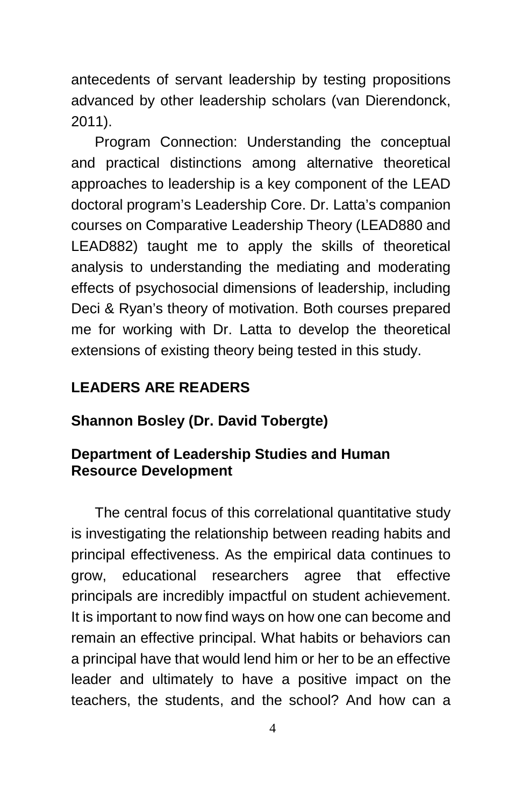antecedents of servant leadership by testing propositions advanced by other leadership scholars (van Dierendonck, 2011).

Program Connection: Understanding the conceptual and practical distinctions among alternative theoretical approaches to leadership is a key component of the LEAD doctoral program's Leadership Core. Dr. Latta's companion courses on Comparative Leadership Theory (LEAD880 and LEAD882) taught me to apply the skills of theoretical analysis to understanding the mediating and moderating effects of psychosocial dimensions of leadership, including Deci & Ryan's theory of motivation. Both courses prepared me for working with Dr. Latta to develop the theoretical extensions of existing theory being tested in this study.

#### **LEADERS ARE READERS**

#### **Shannon Bosley (Dr. David Tobergte)**

#### **Department of Leadership Studies and Human Resource Development**

The central focus of this correlational quantitative study is investigating the relationship between reading habits and principal effectiveness. As the empirical data continues to grow, educational researchers agree that effective principals are incredibly impactful on student achievement. It is important to now find ways on how one can become and remain an effective principal. What habits or behaviors can a principal have that would lend him or her to be an effective leader and ultimately to have a positive impact on the teachers, the students, and the school? And how can a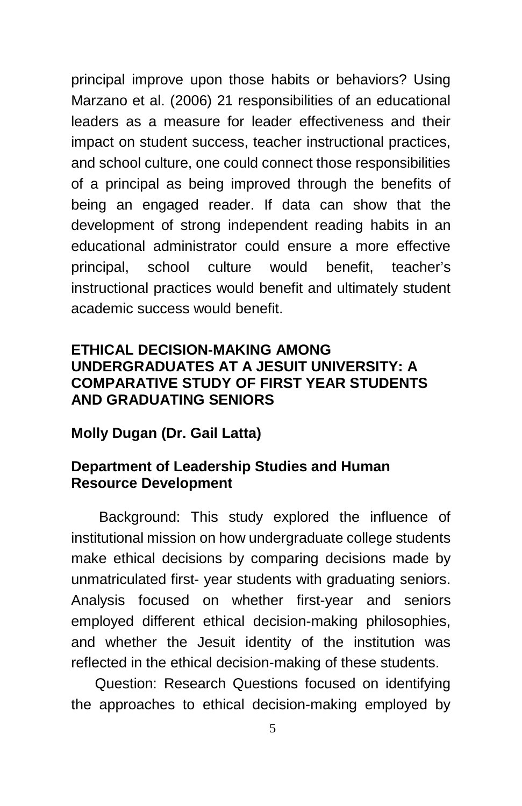principal improve upon those habits or behaviors? Using Marzano et al. (2006) 21 responsibilities of an educational leaders as a measure for leader effectiveness and their impact on student success, teacher instructional practices, and school culture, one could connect those responsibilities of a principal as being improved through the benefits of being an engaged reader. If data can show that the development of strong independent reading habits in an educational administrator could ensure a more effective principal, school culture would benefit, teacher's instructional practices would benefit and ultimately student academic success would benefit.

#### **ETHICAL DECISION-MAKING AMONG UNDERGRADUATES AT A JESUIT UNIVERSITY: A COMPARATIVE STUDY OF FIRST YEAR STUDENTS AND GRADUATING SENIORS**

#### **Molly Dugan (Dr. Gail Latta)**

#### **Department of Leadership Studies and Human Resource Development**

Background: This study explored the influence of institutional mission on how undergraduate college students make ethical decisions by comparing decisions made by unmatriculated first- year students with graduating seniors. Analysis focused on whether first-year and seniors employed different ethical decision-making philosophies, and whether the Jesuit identity of the institution was reflected in the ethical decision-making of these students.

Question: Research Questions focused on identifying the approaches to ethical decision-making employed by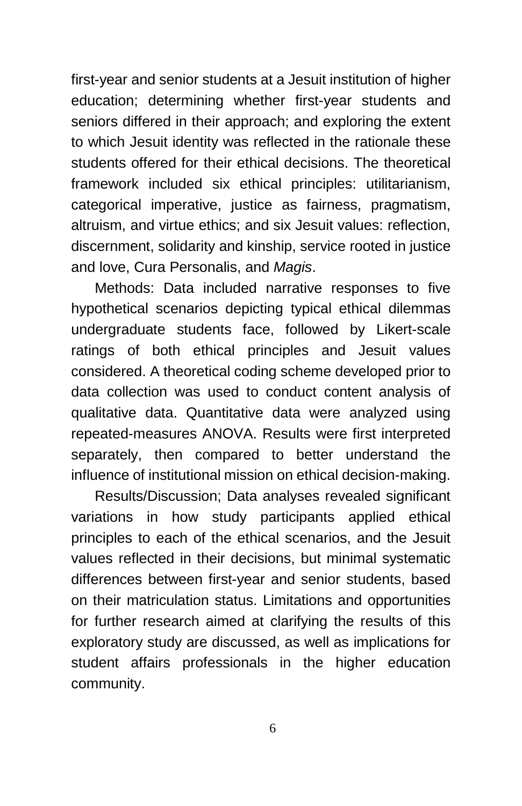first-year and senior students at a Jesuit institution of higher education; determining whether first-year students and seniors differed in their approach; and exploring the extent to which Jesuit identity was reflected in the rationale these students offered for their ethical decisions. The theoretical framework included six ethical principles: utilitarianism, categorical imperative, justice as fairness, pragmatism, altruism, and virtue ethics; and six Jesuit values: reflection, discernment, solidarity and kinship, service rooted in justice and love, Cura Personalis, and *Magis*.

Methods: Data included narrative responses to five hypothetical scenarios depicting typical ethical dilemmas undergraduate students face, followed by Likert-scale ratings of both ethical principles and Jesuit values considered. A theoretical coding scheme developed prior to data collection was used to conduct content analysis of qualitative data. Quantitative data were analyzed using repeated-measures ANOVA. Results were first interpreted separately, then compared to better understand the influence of institutional mission on ethical decision-making.

Results/Discussion; Data analyses revealed significant variations in how study participants applied ethical principles to each of the ethical scenarios, and the Jesuit values reflected in their decisions, but minimal systematic differences between first-year and senior students, based on their matriculation status. Limitations and opportunities for further research aimed at clarifying the results of this exploratory study are discussed, as well as implications for student affairs professionals in the higher education community.

6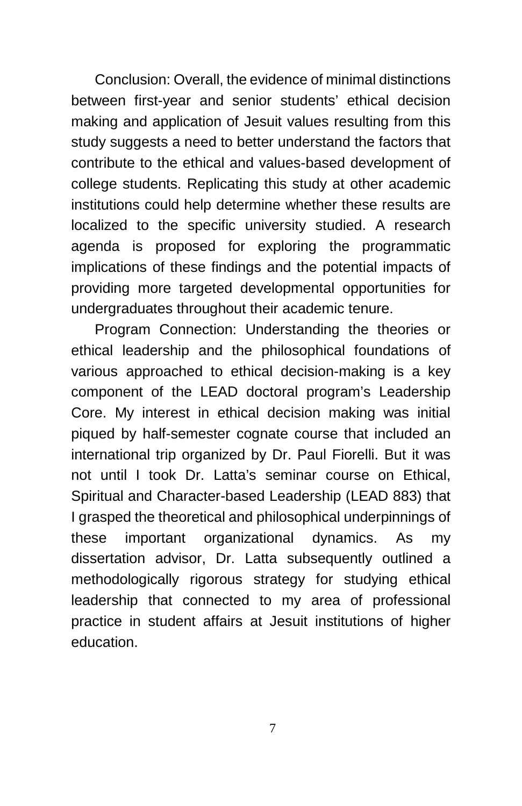Conclusion: Overall, the evidence of minimal distinctions between first-year and senior students' ethical decision making and application of Jesuit values resulting from this study suggests a need to better understand the factors that contribute to the ethical and values-based development of college students. Replicating this study at other academic institutions could help determine whether these results are localized to the specific university studied. A research agenda is proposed for exploring the programmatic implications of these findings and the potential impacts of providing more targeted developmental opportunities for undergraduates throughout their academic tenure.

Program Connection: Understanding the theories or ethical leadership and the philosophical foundations of various approached to ethical decision-making is a key component of the LEAD doctoral program's Leadership Core. My interest in ethical decision making was initial piqued by half-semester cognate course that included an international trip organized by Dr. Paul Fiorelli. But it was not until I took Dr. Latta's seminar course on Ethical, Spiritual and Character-based Leadership (LEAD 883) that I grasped the theoretical and philosophical underpinnings of these important organizational dynamics. As my dissertation advisor, Dr. Latta subsequently outlined a methodologically rigorous strategy for studying ethical leadership that connected to my area of professional practice in student affairs at Jesuit institutions of higher education.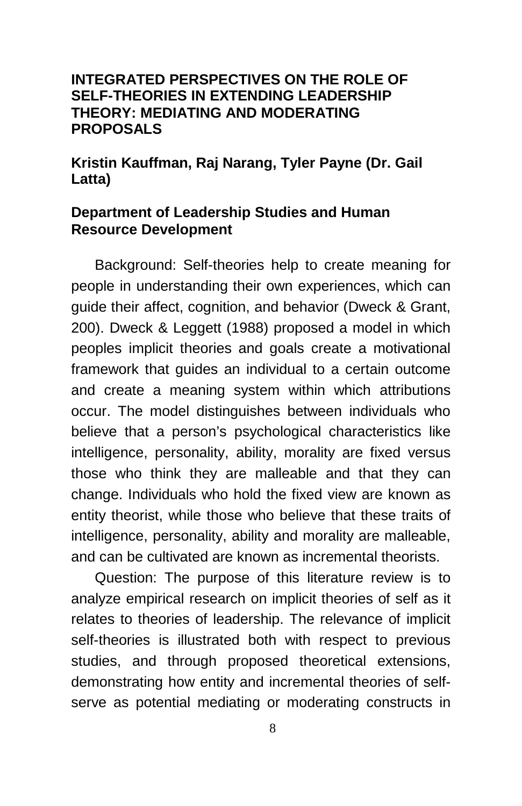#### **INTEGRATED PERSPECTIVES ON THE ROLE OF SELF-THEORIES IN EXTENDING LEADERSHIP THEORY: MEDIATING AND MODERATING PROPOSALS**

**Kristin Kauffman, Raj Narang, Tyler Payne (Dr. Gail Latta)**

#### **Department of Leadership Studies and Human Resource Development**

Background: Self-theories help to create meaning for people in understanding their own experiences, which can guide their affect, cognition, and behavior (Dweck & Grant, 200). Dweck & Leggett (1988) proposed a model in which peoples implicit theories and goals create a motivational framework that guides an individual to a certain outcome and create a meaning system within which attributions occur. The model distinguishes between individuals who believe that a person's psychological characteristics like intelligence, personality, ability, morality are fixed versus those who think they are malleable and that they can change. Individuals who hold the fixed view are known as entity theorist, while those who believe that these traits of intelligence, personality, ability and morality are malleable, and can be cultivated are known as incremental theorists.

Question: The purpose of this literature review is to analyze empirical research on implicit theories of self as it relates to theories of leadership. The relevance of implicit self-theories is illustrated both with respect to previous studies, and through proposed theoretical extensions, demonstrating how entity and incremental theories of selfserve as potential mediating or moderating constructs in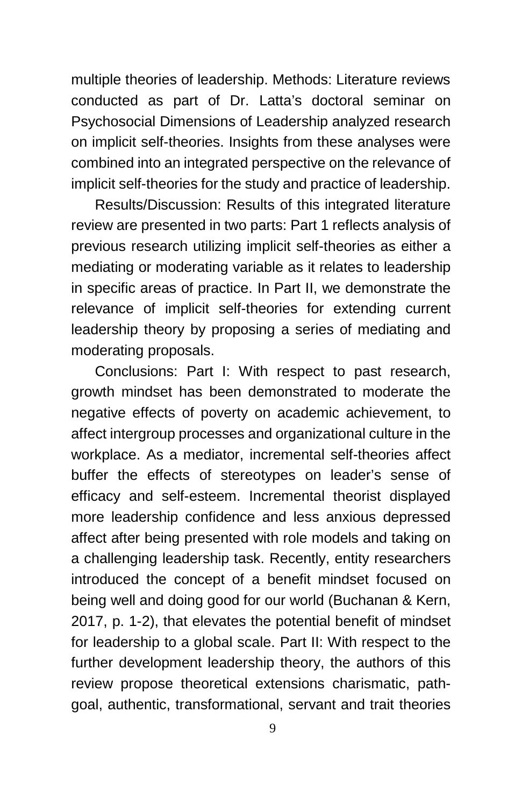multiple theories of leadership. Methods: Literature reviews conducted as part of Dr. Latta's doctoral seminar on Psychosocial Dimensions of Leadership analyzed research on implicit self-theories. Insights from these analyses were combined into an integrated perspective on the relevance of implicit self-theories for the study and practice of leadership.

Results/Discussion: Results of this integrated literature review are presented in two parts: Part 1 reflects analysis of previous research utilizing implicit self-theories as either a mediating or moderating variable as it relates to leadership in specific areas of practice. In Part II, we demonstrate the relevance of implicit self-theories for extending current leadership theory by proposing a series of mediating and moderating proposals.

Conclusions: Part I: With respect to past research, growth mindset has been demonstrated to moderate the negative effects of poverty on academic achievement, to affect intergroup processes and organizational culture in the workplace. As a mediator, incremental self-theories affect buffer the effects of stereotypes on leader's sense of efficacy and self-esteem. Incremental theorist displayed more leadership confidence and less anxious depressed affect after being presented with role models and taking on a challenging leadership task. Recently, entity researchers introduced the concept of a benefit mindset focused on being well and doing good for our world (Buchanan & Kern, 2017, p. 1-2), that elevates the potential benefit of mindset for leadership to a global scale. Part II: With respect to the further development leadership theory, the authors of this review propose theoretical extensions charismatic, pathgoal, authentic, transformational, servant and trait theories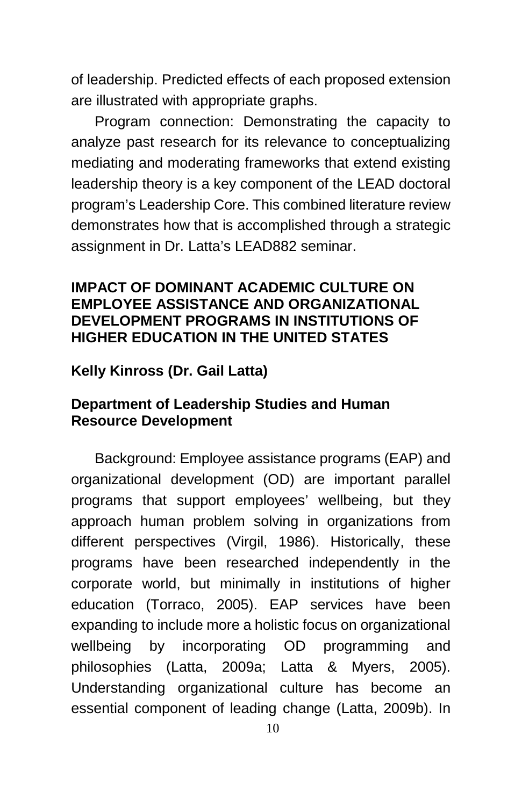of leadership. Predicted effects of each proposed extension are illustrated with appropriate graphs.

Program connection: Demonstrating the capacity to analyze past research for its relevance to conceptualizing mediating and moderating frameworks that extend existing leadership theory is a key component of the LEAD doctoral program's Leadership Core. This combined literature review demonstrates how that is accomplished through a strategic assignment in Dr. Latta's LEAD882 seminar.

#### **IMPACT OF DOMINANT ACADEMIC CULTURE ON EMPLOYEE ASSISTANCE AND ORGANIZATIONAL DEVELOPMENT PROGRAMS IN INSTITUTIONS OF HIGHER EDUCATION IN THE UNITED STATES**

**Kelly Kinross (Dr. Gail Latta)**

#### **Department of Leadership Studies and Human Resource Development**

Background: Employee assistance programs (EAP) and organizational development (OD) are important parallel programs that support employees' wellbeing, but they approach human problem solving in organizations from different perspectives (Virgil, 1986). Historically, these programs have been researched independently in the corporate world, but minimally in institutions of higher education (Torraco, 2005). EAP services have been expanding to include more a holistic focus on organizational wellbeing by incorporating OD programming and philosophies (Latta, 2009a; Latta & Myers, 2005). Understanding organizational culture has become an essential component of leading change (Latta, 2009b). In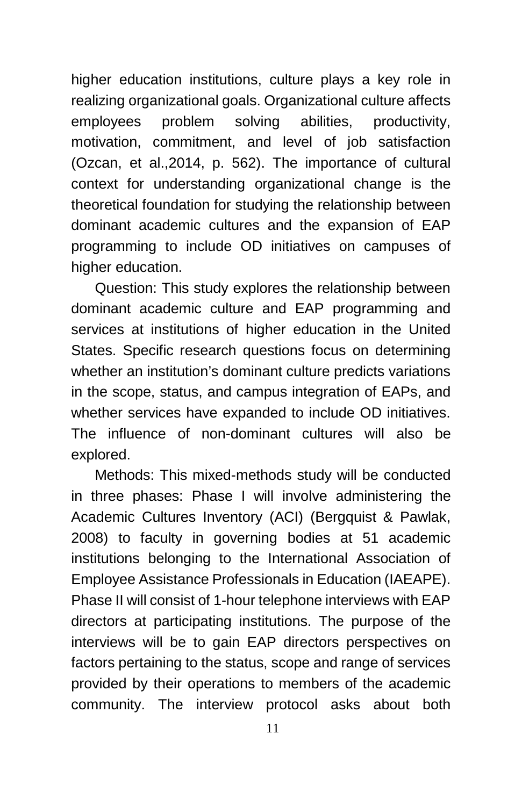higher education institutions, culture plays a key role in realizing organizational goals. Organizational culture affects employees problem solving abilities, productivity, motivation, commitment, and level of job satisfaction (Ozcan, et al.,2014, p. 562). The importance of cultural context for understanding organizational change is the theoretical foundation for studying the relationship between dominant academic cultures and the expansion of EAP programming to include OD initiatives on campuses of higher education.

Question: This study explores the relationship between dominant academic culture and EAP programming and services at institutions of higher education in the United States. Specific research questions focus on determining whether an institution's dominant culture predicts variations in the scope, status, and campus integration of EAPs, and whether services have expanded to include OD initiatives. The influence of non-dominant cultures will also be explored.

Methods: This mixed-methods study will be conducted in three phases: Phase I will involve administering the Academic Cultures Inventory (ACI) (Bergquist & Pawlak, 2008) to faculty in governing bodies at 51 academic institutions belonging to the International Association of Employee Assistance Professionals in Education (IAEAPE). Phase II will consist of 1-hour telephone interviews with EAP directors at participating institutions. The purpose of the interviews will be to gain EAP directors perspectives on factors pertaining to the status, scope and range of services provided by their operations to members of the academic community. The interview protocol asks about both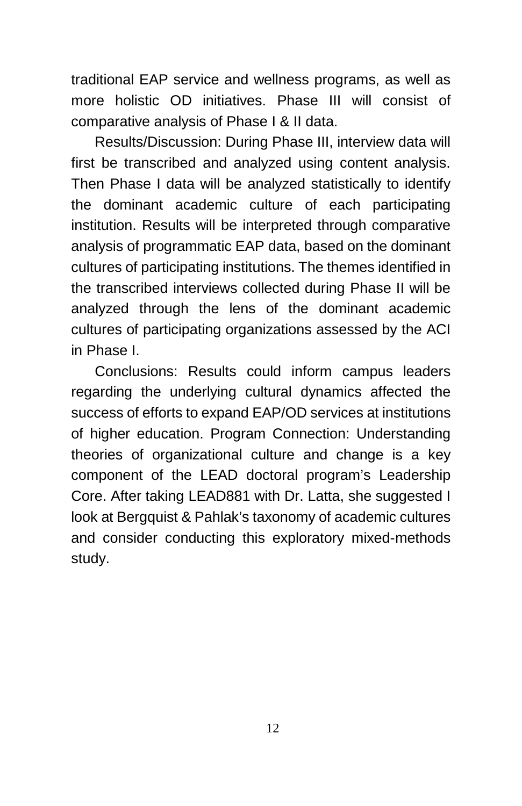traditional EAP service and wellness programs, as well as more holistic OD initiatives. Phase III will consist of comparative analysis of Phase I & II data.

Results/Discussion: During Phase III, interview data will first be transcribed and analyzed using content analysis. Then Phase I data will be analyzed statistically to identify the dominant academic culture of each participating institution. Results will be interpreted through comparative analysis of programmatic EAP data, based on the dominant cultures of participating institutions. The themes identified in the transcribed interviews collected during Phase II will be analyzed through the lens of the dominant academic cultures of participating organizations assessed by the ACI in Phase I.

Conclusions: Results could inform campus leaders regarding the underlying cultural dynamics affected the success of efforts to expand EAP/OD services at institutions of higher education. Program Connection: Understanding theories of organizational culture and change is a key component of the LEAD doctoral program's Leadership Core. After taking LEAD881 with Dr. Latta, she suggested I look at Bergquist & Pahlak's taxonomy of academic cultures and consider conducting this exploratory mixed-methods study.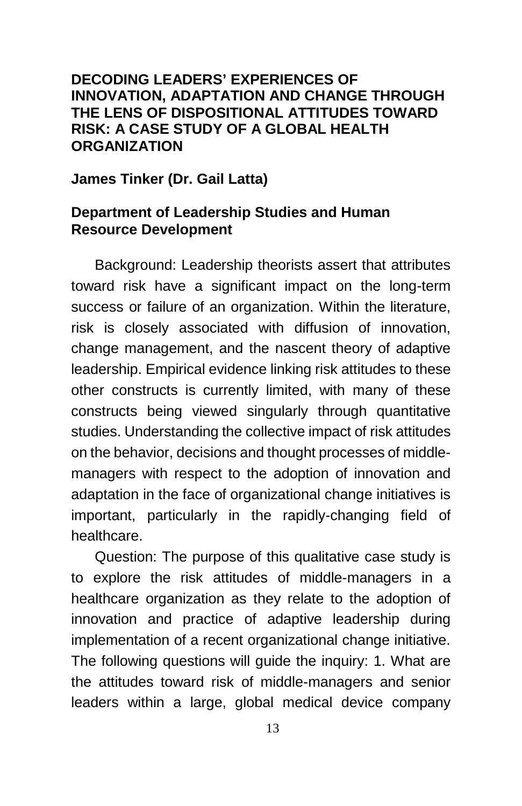#### **DECODING LEADERS' EXPERIENCES OF INNOVATION, ADAPTATION AND CHANGE THROUGH THE LENS OF DISPOSITIONAL ATTITUDES TOWARD RISK: A CASE STUDY OF A GLOBAL HEALTH ORGANIZATION**

#### **James Tinker (Dr. Gail Latta)**

#### **Department of Leadership Studies and Human Resource Development**

Background: Leadership theorists assert that attributes toward risk have a significant impact on the long-term success or failure of an organization. Within the literature, risk is closely associated with diffusion of innovation, change management, and the nascent theory of adaptive leadership. Empirical evidence linking risk attitudes to these other constructs is currently limited, with many of these constructs being viewed singularly through quantitative studies. Understanding the collective impact of risk attitudes on the behavior, decisions and thought processes of middlemanagers with respect to the adoption of innovation and adaptation in the face of organizational change initiatives is important, particularly in the rapidly-changing field of healthcare.

Question: The purpose of this qualitative case study is to explore the risk attitudes of middle-managers in a healthcare organization as they relate to the adoption of innovation and practice of adaptive leadership during implementation of a recent organizational change initiative. The following questions will guide the inquiry: 1. What are the attitudes toward risk of middle-managers and senior leaders within a large, global medical device company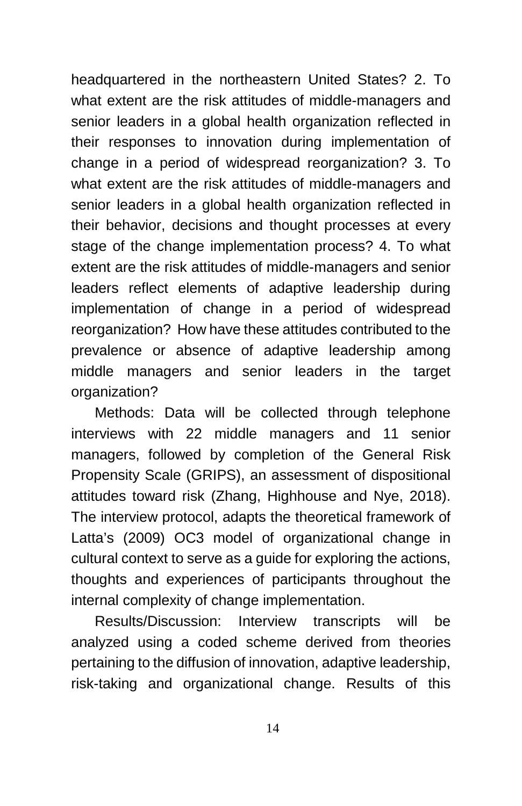headquartered in the northeastern United States? 2. To what extent are the risk attitudes of middle-managers and senior leaders in a global health organization reflected in their responses to innovation during implementation of change in a period of widespread reorganization? 3. To what extent are the risk attitudes of middle-managers and senior leaders in a global health organization reflected in their behavior, decisions and thought processes at every stage of the change implementation process? 4. To what extent are the risk attitudes of middle-managers and senior leaders reflect elements of adaptive leadership during implementation of change in a period of widespread reorganization? How have these attitudes contributed to the prevalence or absence of adaptive leadership among middle managers and senior leaders in the target organization?

Methods: Data will be collected through telephone interviews with 22 middle managers and 11 senior managers, followed by completion of the General Risk Propensity Scale (GRIPS), an assessment of dispositional attitudes toward risk (Zhang, Highhouse and Nye, 2018). The interview protocol, adapts the theoretical framework of Latta's (2009) OC3 model of organizational change in cultural context to serve as a guide for exploring the actions, thoughts and experiences of participants throughout the internal complexity of change implementation.

Results/Discussion: Interview transcripts will be analyzed using a coded scheme derived from theories pertaining to the diffusion of innovation, adaptive leadership, risk-taking and organizational change. Results of this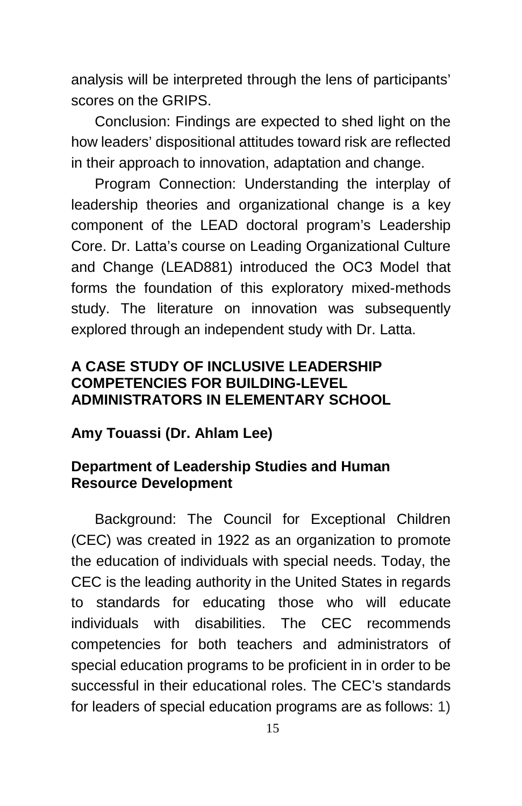analysis will be interpreted through the lens of participants' scores on the GRIPS.

Conclusion: Findings are expected to shed light on the how leaders' dispositional attitudes toward risk are reflected in their approach to innovation, adaptation and change.

Program Connection: Understanding the interplay of leadership theories and organizational change is a key component of the LEAD doctoral program's Leadership Core. Dr. Latta's course on Leading Organizational Culture and Change (LEAD881) introduced the OC3 Model that forms the foundation of this exploratory mixed-methods study. The literature on innovation was subsequently explored through an independent study with Dr. Latta.

#### **A CASE STUDY OF INCLUSIVE LEADERSHIP COMPETENCIES FOR BUILDING-LEVEL ADMINISTRATORS IN ELEMENTARY SCHOOL**

#### **Amy Touassi (Dr. Ahlam Lee)**

#### **Department of Leadership Studies and Human Resource Development**

Background: The Council for Exceptional Children (CEC) was created in 1922 as an organization to promote the education of individuals with special needs. Today, the CEC is the leading authority in the United States in regards to standards for educating those who will educate individuals with disabilities. The CEC recommends competencies for both teachers and administrators of special education programs to be proficient in in order to be successful in their educational roles. The CEC's standards for leaders of special education programs are as follows: 1)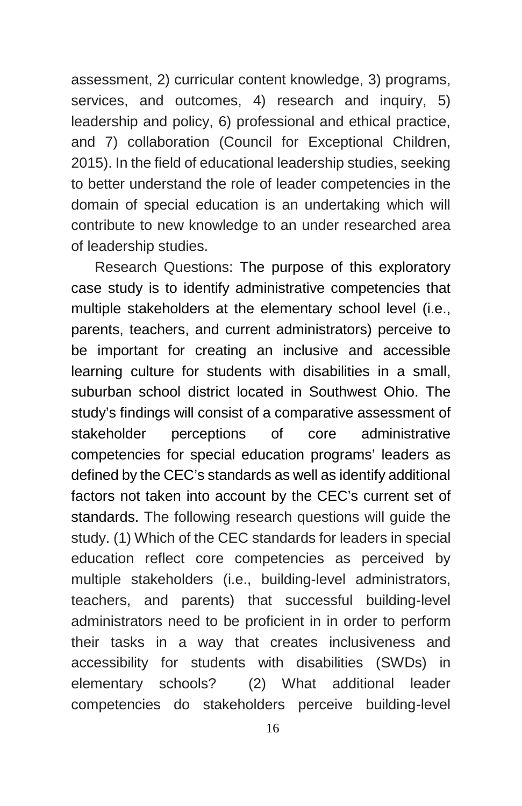assessment, 2) curricular content knowledge, 3) programs, services, and outcomes, 4) research and inquiry, 5) leadership and policy, 6) professional and ethical practice, and 7) collaboration (Council for Exceptional Children, 2015). In the field of educational leadership studies, seeking to better understand the role of leader competencies in the domain of special education is an undertaking which will contribute to new knowledge to an under researched area of leadership studies.

Research Questions: The purpose of this exploratory case study is to identify administrative competencies that multiple stakeholders at the elementary school level (i.e., parents, teachers, and current administrators) perceive to be important for creating an inclusive and accessible learning culture for students with disabilities in a small, suburban school district located in Southwest Ohio. The study's findings will consist of a comparative assessment of stakeholder perceptions of core administrative competencies for special education programs' leaders as defined by the CEC's standards as well as identify additional factors not taken into account by the CEC's current set of standards. The following research questions will guide the study. (1) Which of the CEC standards for leaders in special education reflect core competencies as perceived by multiple stakeholders (i.e., building-level administrators, teachers, and parents) that successful building-level administrators need to be proficient in in order to perform their tasks in a way that creates inclusiveness and accessibility for students with disabilities (SWDs) in elementary schools? (2) What additional leader competencies do stakeholders perceive building-level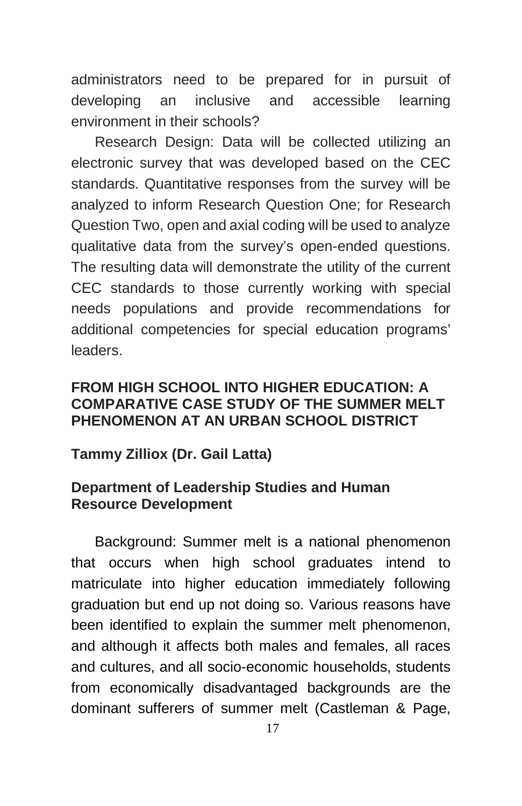administrators need to be prepared for in pursuit of developing an inclusive and accessible learning environment in their schools?

Research Design: Data will be collected utilizing an electronic survey that was developed based on the CEC standards. Quantitative responses from the survey will be analyzed to inform Research Question One; for Research Question Two, open and axial coding will be used to analyze qualitative data from the survey's open-ended questions. The resulting data will demonstrate the utility of the current CEC standards to those currently working with special needs populations and provide recommendations for additional competencies for special education programs' leaders.

#### **FROM HIGH SCHOOL INTO HIGHER EDUCATION: A COMPARATIVE CASE STUDY OF THE SUMMER MELT PHENOMENON AT AN URBAN SCHOOL DISTRICT**

#### **Tammy Zilliox (Dr. Gail Latta)**

#### **Department of Leadership Studies and Human Resource Development**

Background: Summer melt is a national phenomenon that occurs when high school graduates intend to matriculate into higher education immediately following graduation but end up not doing so. Various reasons have been identified to explain the summer melt phenomenon, and although it affects both males and females, all races and cultures, and all socio-economic households, students from economically disadvantaged backgrounds are the dominant sufferers of summer melt (Castleman & Page,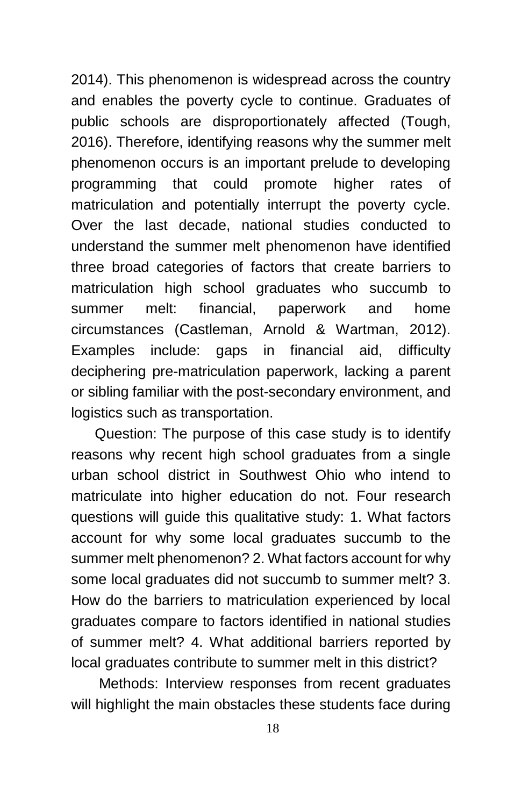2014). This phenomenon is widespread across the country and enables the poverty cycle to continue. Graduates of public schools are disproportionately affected (Tough, 2016). Therefore, identifying reasons why the summer melt phenomenon occurs is an important prelude to developing programming that could promote higher rates of matriculation and potentially interrupt the poverty cycle. Over the last decade, national studies conducted to understand the summer melt phenomenon have identified three broad categories of factors that create barriers to matriculation high school graduates who succumb to summer melt: financial, paperwork and home circumstances (Castleman, Arnold & Wartman, 2012). Examples include: gaps in financial aid, difficulty deciphering pre-matriculation paperwork, lacking a parent or sibling familiar with the post-secondary environment, and logistics such as transportation.

Question: The purpose of this case study is to identify reasons why recent high school graduates from a single urban school district in Southwest Ohio who intend to matriculate into higher education do not. Four research questions will guide this qualitative study: 1. What factors account for why some local graduates succumb to the summer melt phenomenon? 2. What factors account for why some local graduates did not succumb to summer melt? 3. How do the barriers to matriculation experienced by local graduates compare to factors identified in national studies of summer melt? 4. What additional barriers reported by local graduates contribute to summer melt in this district?

Methods: Interview responses from recent graduates will highlight the main obstacles these students face during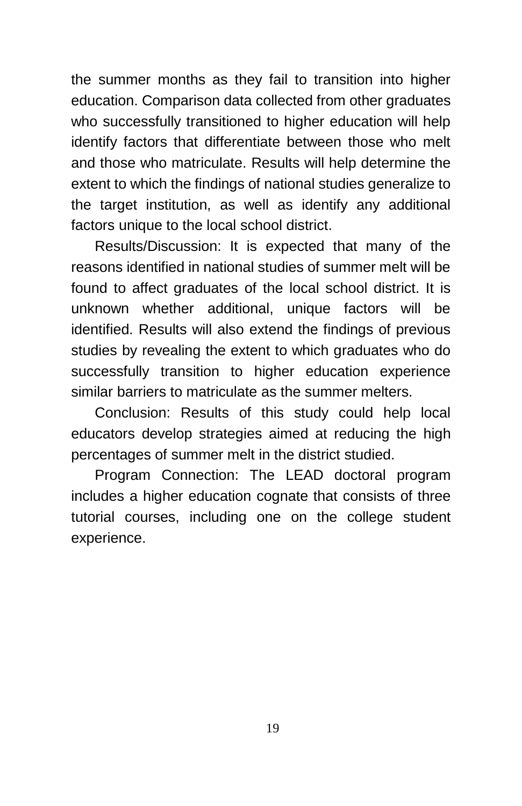the summer months as they fail to transition into higher education. Comparison data collected from other graduates who successfully transitioned to higher education will help identify factors that differentiate between those who melt and those who matriculate. Results will help determine the extent to which the findings of national studies generalize to the target institution, as well as identify any additional factors unique to the local school district.

Results/Discussion: It is expected that many of the reasons identified in national studies of summer melt will be found to affect graduates of the local school district. It is unknown whether additional, unique factors will be identified. Results will also extend the findings of previous studies by revealing the extent to which graduates who do successfully transition to higher education experience similar barriers to matriculate as the summer melters.

Conclusion: Results of this study could help local educators develop strategies aimed at reducing the high percentages of summer melt in the district studied.

Program Connection: The LEAD doctoral program includes a higher education cognate that consists of three tutorial courses, including one on the college student experience.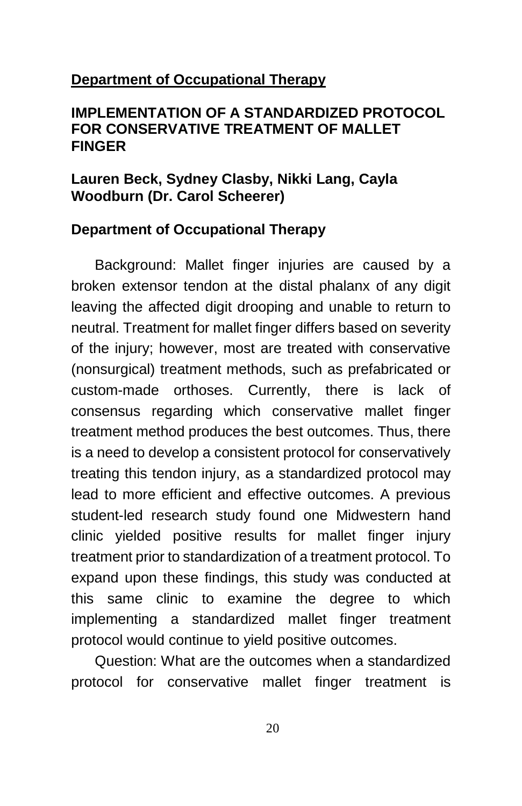#### **Department of Occupational Therapy**

#### **IMPLEMENTATION OF A STANDARDIZED PROTOCOL FOR CONSERVATIVE TREATMENT OF MALLET FINGER**

#### **Lauren Beck, Sydney Clasby, Nikki Lang, Cayla Woodburn (Dr. Carol Scheerer)**

#### **Department of Occupational Therapy**

Background: Mallet finger injuries are caused by a broken extensor tendon at the distal phalanx of any digit leaving the affected digit drooping and unable to return to neutral. Treatment for mallet finger differs based on severity of the injury; however, most are treated with conservative (nonsurgical) treatment methods, such as prefabricated or custom-made orthoses. Currently, there is lack of consensus regarding which conservative mallet finger treatment method produces the best outcomes. Thus, there is a need to develop a consistent protocol for conservatively treating this tendon injury, as a standardized protocol may lead to more efficient and effective outcomes. A previous student-led research study found one Midwestern hand clinic yielded positive results for mallet finger injury treatment prior to standardization of a treatment protocol. To expand upon these findings, this study was conducted at this same clinic to examine the degree to which implementing a standardized mallet finger treatment protocol would continue to yield positive outcomes.

Question: What are the outcomes when a standardized protocol for conservative mallet finger treatment is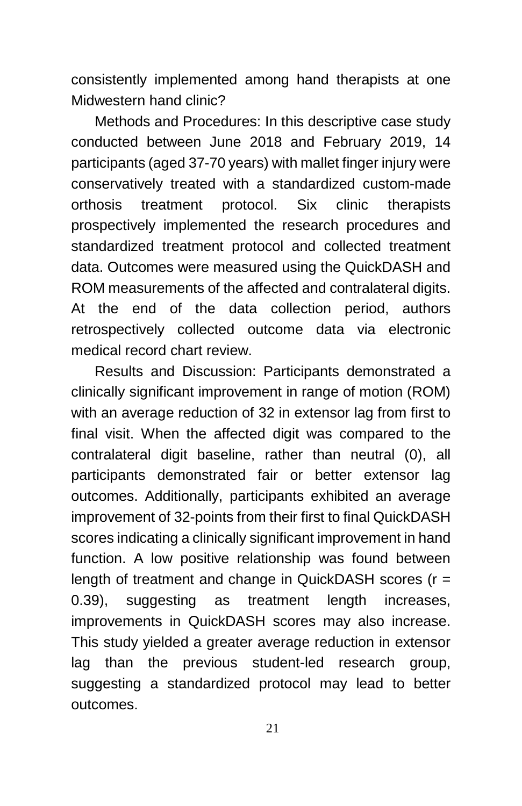consistently implemented among hand therapists at one Midwestern hand clinic?

Methods and Procedures: In this descriptive case study conducted between June 2018 and February 2019, 14 participants (aged 37-70 years) with mallet finger injury were conservatively treated with a standardized custom-made orthosis treatment protocol. Six clinic therapists prospectively implemented the research procedures and standardized treatment protocol and collected treatment data. Outcomes were measured using the QuickDASH and ROM measurements of the affected and contralateral digits. At the end of the data collection period, authors retrospectively collected outcome data via electronic medical record chart review.

Results and Discussion: Participants demonstrated a clinically significant improvement in range of motion (ROM) with an average reduction of 32 in extensor lag from first to final visit. When the affected digit was compared to the contralateral digit baseline, rather than neutral (0), all participants demonstrated fair or better extensor lag outcomes. Additionally, participants exhibited an average improvement of 32-points from their first to final QuickDASH scores indicating a clinically significant improvement in hand function. A low positive relationship was found between length of treatment and change in QuickDASH scores (r = 0.39), suggesting as treatment length increases, improvements in QuickDASH scores may also increase. This study yielded a greater average reduction in extensor lag than the previous student-led research group, suggesting a standardized protocol may lead to better outcomes.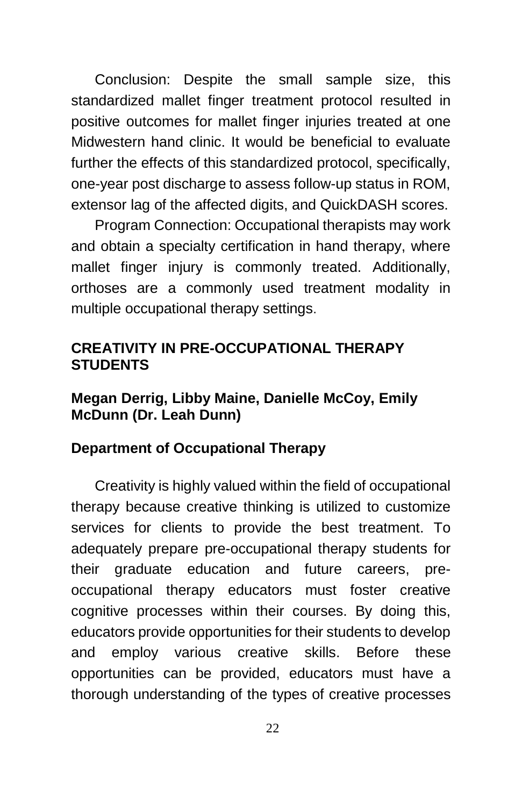Conclusion: Despite the small sample size, this standardized mallet finger treatment protocol resulted in positive outcomes for mallet finger injuries treated at one Midwestern hand clinic. It would be beneficial to evaluate further the effects of this standardized protocol, specifically, one-year post discharge to assess follow-up status in ROM, extensor lag of the affected digits, and QuickDASH scores.

Program Connection: Occupational therapists may work and obtain a specialty certification in hand therapy, where mallet finger injury is commonly treated. Additionally, orthoses are a commonly used treatment modality in multiple occupational therapy settings.

#### **CREATIVITY IN PRE-OCCUPATIONAL THERAPY STUDENTS**

#### **Megan Derrig, Libby Maine, Danielle McCoy, Emily McDunn (Dr. Leah Dunn)**

#### **Department of Occupational Therapy**

Creativity is highly valued within the field of occupational therapy because creative thinking is utilized to customize services for clients to provide the best treatment. To adequately prepare pre-occupational therapy students for their graduate education and future careers, preoccupational therapy educators must foster creative cognitive processes within their courses. By doing this, educators provide opportunities for their students to develop and employ various creative skills. Before these opportunities can be provided, educators must have a thorough understanding of the types of creative processes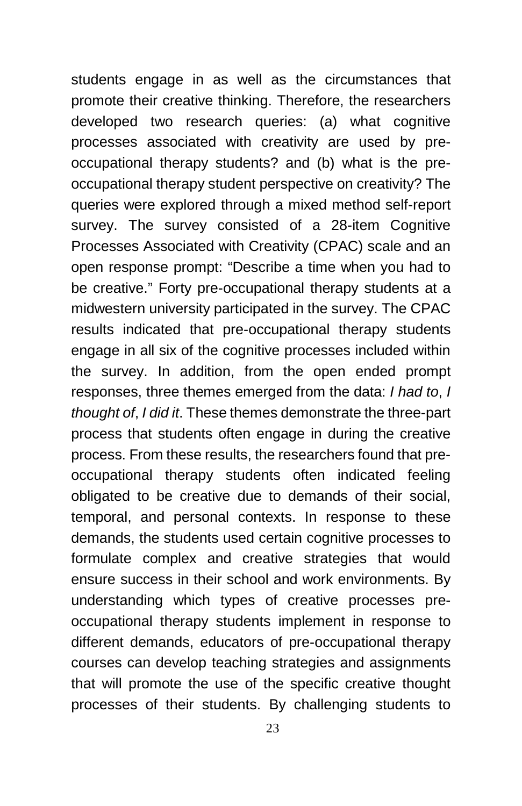students engage in as well as the circumstances that promote their creative thinking. Therefore, the researchers developed two research queries: (a) what cognitive processes associated with creativity are used by preoccupational therapy students? and (b) what is the preoccupational therapy student perspective on creativity? The queries were explored through a mixed method self-report survey. The survey consisted of a 28-item Cognitive Processes Associated with Creativity (CPAC) scale and an open response prompt: "Describe a time when you had to be creative." Forty pre-occupational therapy students at a midwestern university participated in the survey. The CPAC results indicated that pre-occupational therapy students engage in all six of the cognitive processes included within the survey. In addition, from the open ended prompt responses, three themes emerged from the data: *I had to*, *I thought of*, *I did it*. These themes demonstrate the three-part process that students often engage in during the creative process. From these results, the researchers found that preoccupational therapy students often indicated feeling obligated to be creative due to demands of their social, temporal, and personal contexts. In response to these demands, the students used certain cognitive processes to formulate complex and creative strategies that would ensure success in their school and work environments. By understanding which types of creative processes preoccupational therapy students implement in response to different demands, educators of pre-occupational therapy courses can develop teaching strategies and assignments that will promote the use of the specific creative thought processes of their students. By challenging students to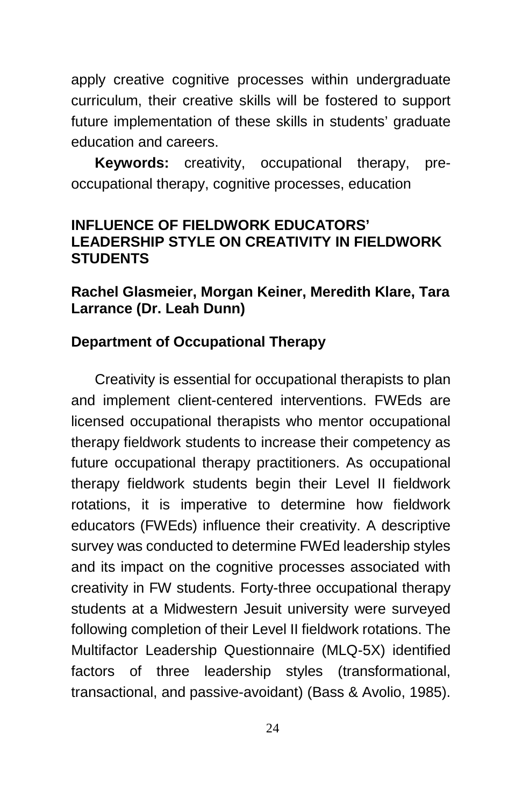apply creative cognitive processes within undergraduate curriculum, their creative skills will be fostered to support future implementation of these skills in students' graduate education and careers.

**Keywords:** creativity, occupational therapy, preoccupational therapy, cognitive processes, education

#### **INFLUENCE OF FIELDWORK EDUCATORS' LEADERSHIP STYLE ON CREATIVITY IN FIELDWORK STUDENTS**

#### **Rachel Glasmeier, Morgan Keiner, Meredith Klare, Tara Larrance (Dr. Leah Dunn)**

#### **Department of Occupational Therapy**

Creativity is essential for occupational therapists to plan and implement client-centered interventions. FWEds are licensed occupational therapists who mentor occupational therapy fieldwork students to increase their competency as future occupational therapy practitioners. As occupational therapy fieldwork students begin their Level II fieldwork rotations, it is imperative to determine how fieldwork educators (FWEds) influence their creativity. A descriptive survey was conducted to determine FWEd leadership styles and its impact on the cognitive processes associated with creativity in FW students. Forty-three occupational therapy students at a Midwestern Jesuit university were surveyed following completion of their Level II fieldwork rotations. The Multifactor Leadership Questionnaire (MLQ-5X) identified factors of three leadership styles (transformational, transactional, and passive-avoidant) (Bass & Avolio, 1985).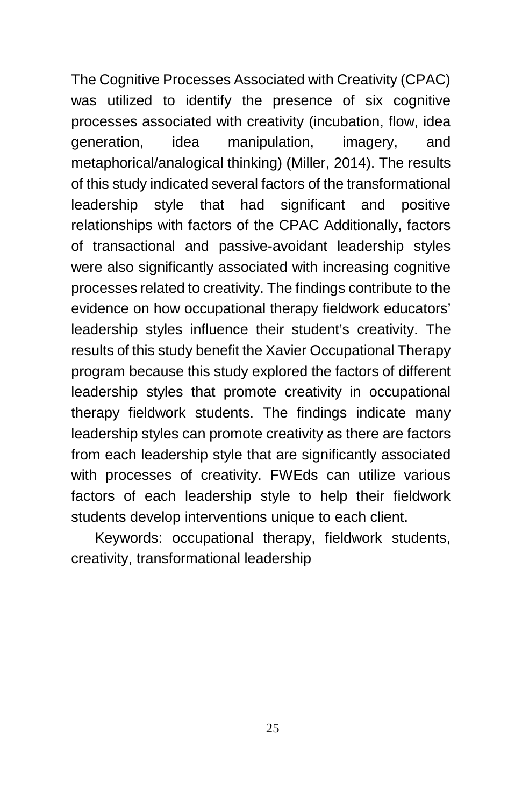The Cognitive Processes Associated with Creativity (CPAC) was utilized to identify the presence of six cognitive processes associated with creativity (incubation, flow, idea generation, idea manipulation, imagery, and metaphorical/analogical thinking) (Miller, 2014). The results of this study indicated several factors of the transformational leadership style that had significant and positive relationships with factors of the CPAC Additionally, factors of transactional and passive-avoidant leadership styles were also significantly associated with increasing cognitive processes related to creativity. The findings contribute to the evidence on how occupational therapy fieldwork educators' leadership styles influence their student's creativity. The results of this study benefit the Xavier Occupational Therapy program because this study explored the factors of different leadership styles that promote creativity in occupational therapy fieldwork students. The findings indicate many leadership styles can promote creativity as there are factors from each leadership style that are significantly associated with processes of creativity. FWEds can utilize various factors of each leadership style to help their fieldwork students develop interventions unique to each client.

Keywords: occupational therapy, fieldwork students, creativity, transformational leadership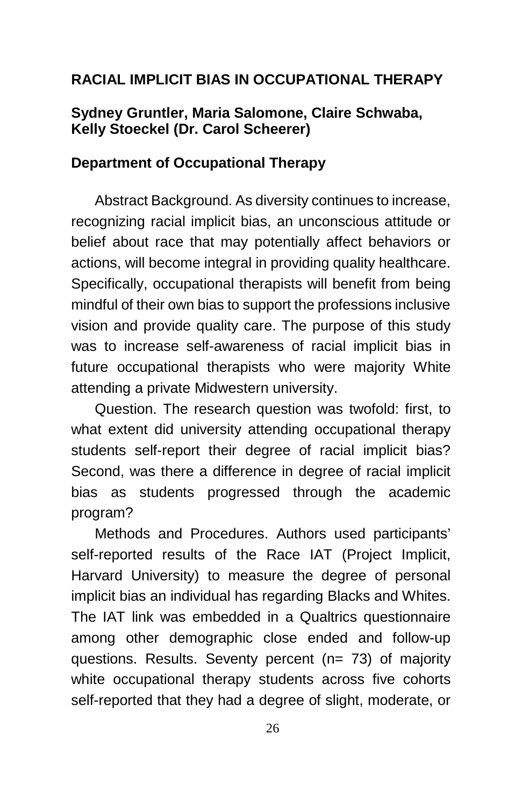#### **RACIAL IMPLICIT BIAS IN OCCUPATIONAL THERAPY**

#### **Sydney Gruntler, Maria Salomone, Claire Schwaba, Kelly Stoeckel (Dr. Carol Scheerer)**

#### **Department of Occupational Therapy**

Abstract Background. As diversity continues to increase, recognizing racial implicit bias, an unconscious attitude or belief about race that may potentially affect behaviors or actions, will become integral in providing quality healthcare. Specifically, occupational therapists will benefit from being mindful of their own bias to support the professions inclusive vision and provide quality care. The purpose of this study was to increase self-awareness of racial implicit bias in future occupational therapists who were majority White attending a private Midwestern university.

Question. The research question was twofold: first, to what extent did university attending occupational therapy students self-report their degree of racial implicit bias? Second, was there a difference in degree of racial implicit bias as students progressed through the academic program?

Methods and Procedures. Authors used participants' self-reported results of the Race IAT (Project Implicit, Harvard University) to measure the degree of personal implicit bias an individual has regarding Blacks and Whites. The IAT link was embedded in a Qualtrics questionnaire among other demographic close ended and follow-up questions. Results. Seventy percent (n= 73) of majority white occupational therapy students across five cohorts self-reported that they had a degree of slight, moderate, or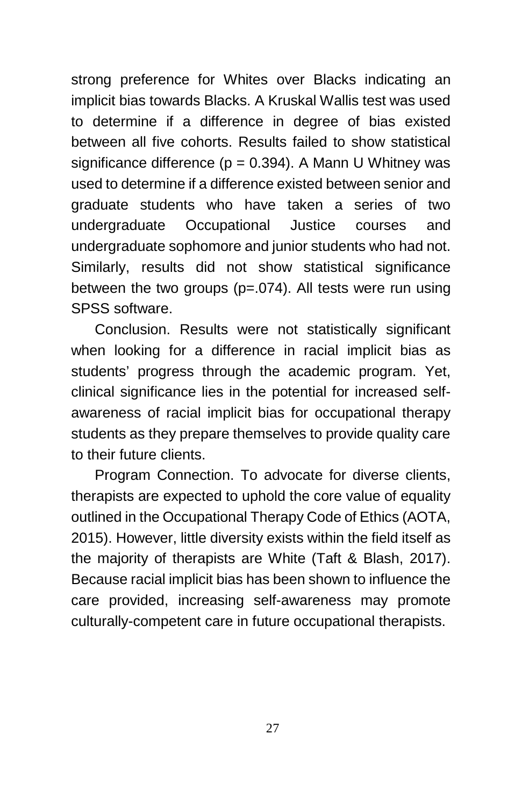strong preference for Whites over Blacks indicating an implicit bias towards Blacks. A Kruskal Wallis test was used to determine if a difference in degree of bias existed between all five cohorts. Results failed to show statistical significance difference ( $p = 0.394$ ). A Mann U Whitney was used to determine if a difference existed between senior and graduate students who have taken a series of two undergraduate Occupational Justice courses and undergraduate sophomore and junior students who had not. Similarly, results did not show statistical significance between the two groups (p=.074). All tests were run using SPSS software.

Conclusion. Results were not statistically significant when looking for a difference in racial implicit bias as students' progress through the academic program. Yet, clinical significance lies in the potential for increased selfawareness of racial implicit bias for occupational therapy students as they prepare themselves to provide quality care to their future clients.

Program Connection. To advocate for diverse clients, therapists are expected to uphold the core value of equality outlined in the Occupational Therapy Code of Ethics (AOTA, 2015). However, little diversity exists within the field itself as the majority of therapists are White (Taft & Blash, 2017). Because racial implicit bias has been shown to influence the care provided, increasing self-awareness may promote culturally-competent care in future occupational therapists.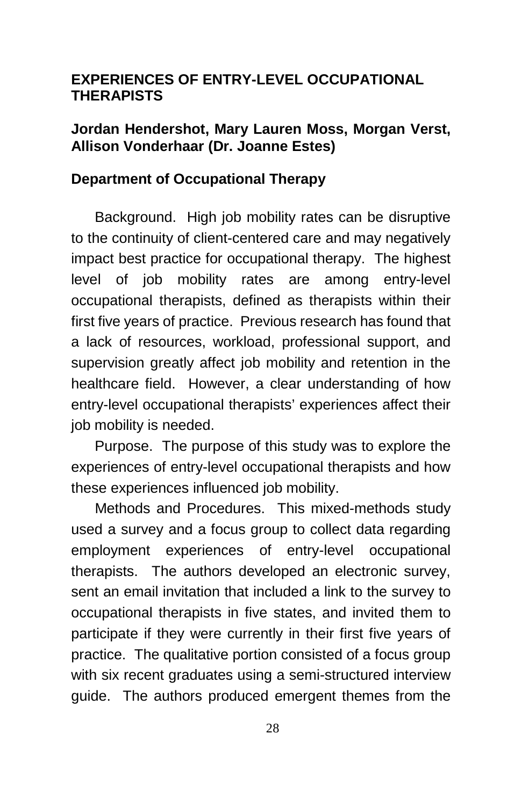#### **EXPERIENCES OF ENTRY-LEVEL OCCUPATIONAL THERAPISTS**

#### **Jordan Hendershot, Mary Lauren Moss, Morgan Verst, Allison Vonderhaar (Dr. Joanne Estes)**

#### **Department of Occupational Therapy**

Background.High job mobility rates can be disruptive to the continuity of client-centered care and may negatively impact best practice for occupational therapy.The highest level of job mobility rates are among entry-level occupational therapists, defined as therapists within their first five years of practice. Previous research has found that a lack of resources, workload, professional support, and supervision greatly affect job mobility and retention in the healthcare field. However, a clear understanding of how entry-level occupational therapists' experiences affect their job mobility is needed.

Purpose.The purpose of this study was to explore the experiences of entry-level occupational therapists and how these experiences influenced job mobility.

Methods and Procedures.This mixed-methods study used a survey and a focus group to collect data regarding employment experiences of entry-level occupational therapists. The authors developed an electronic survey, sent an email invitation that included a link to the survey to occupational therapists in five states, and invited them to participate if they were currently in their first five years of practice. The qualitative portion consisted of a focus group with six recent graduates using a semi-structured interview guide. The authors produced emergent themes from the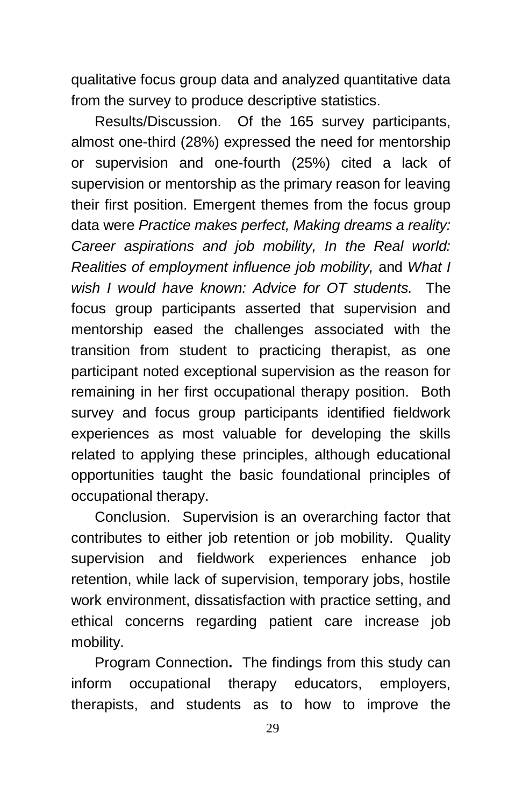qualitative focus group data and analyzed quantitative data from the survey to produce descriptive statistics.

Results/Discussion. Of the 165 survey participants, almost one-third (28%) expressed the need for mentorship or supervision and one-fourth (25%) cited a lack of supervision or mentorship as the primary reason for leaving their first position. Emergent themes from the focus group data were *Practice makes perfect, Making dreams a reality: Career aspirations and job mobility, In the Real world: Realities of employment influence job mobility,* and *What I wish I would have known: Advice for OT students.* The focus group participants asserted that supervision and mentorship eased the challenges associated with the transition from student to practicing therapist, as one participant noted exceptional supervision as the reason for remaining in her first occupational therapy position. Both survey and focus group participants identified fieldwork experiences as most valuable for developing the skills related to applying these principles, although educational opportunities taught the basic foundational principles of occupational therapy.

Conclusion.Supervision is an overarching factor that contributes to either job retention or job mobility. Quality supervision and fieldwork experiences enhance job retention, while lack of supervision, temporary jobs, hostile work environment, dissatisfaction with practice setting, and ethical concerns regarding patient care increase job mobility.

Program Connection**.** The findings from this study can inform occupational therapy educators, employers, therapists, and students as to how to improve the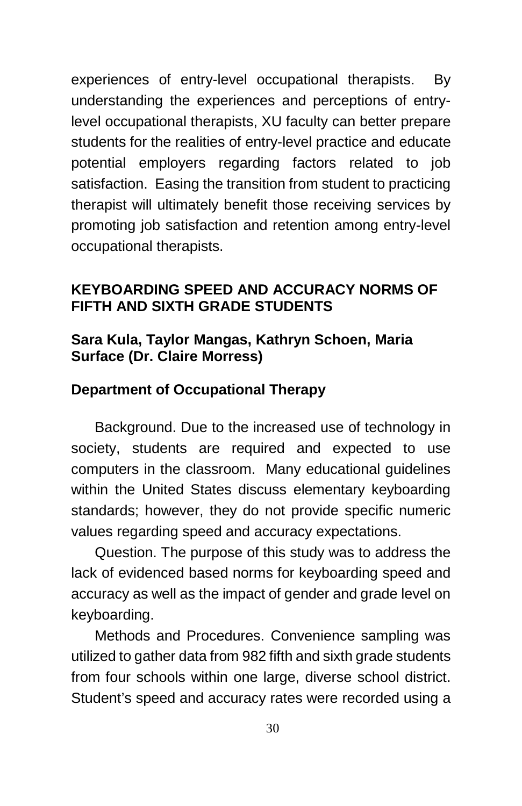experiences of entry-level occupational therapists. By understanding the experiences and perceptions of entrylevel occupational therapists, XU faculty can better prepare students for the realities of entry-level practice and educate potential employers regarding factors related to job satisfaction. Easing the transition from student to practicing therapist will ultimately benefit those receiving services by promoting job satisfaction and retention among entry-level occupational therapists.

#### **KEYBOARDING SPEED AND ACCURACY NORMS OF FIFTH AND SIXTH GRADE STUDENTS**

#### **Sara Kula, Taylor Mangas, Kathryn Schoen, Maria Surface (Dr. Claire Morress)**

#### **Department of Occupational Therapy**

Background. Due to the increased use of technology in society, students are required and expected to use computers in the classroom. Many educational guidelines within the United States discuss elementary keyboarding standards; however, they do not provide specific numeric values regarding speed and accuracy expectations.

Question. The purpose of this study was to address the lack of evidenced based norms for keyboarding speed and accuracy as well as the impact of gender and grade level on keyboarding.

Methods and Procedures. Convenience sampling was utilized to gather data from 982 fifth and sixth grade students from four schools within one large, diverse school district. Student's speed and accuracy rates were recorded using a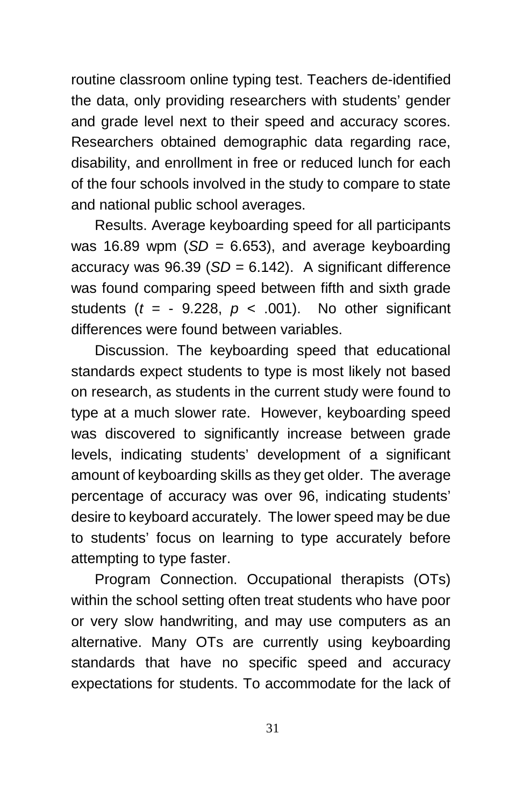routine classroom online typing test. Teachers de-identified the data, only providing researchers with students' gender and grade level next to their speed and accuracy scores. Researchers obtained demographic data regarding race, disability, and enrollment in free or reduced lunch for each of the four schools involved in the study to compare to state and national public school averages.

Results. Average keyboarding speed for all participants was 16.89 wpm (*SD =* 6.653), and average keyboarding accuracy was 96.39 (*SD =* 6.142). A significant difference was found comparing speed between fifth and sixth grade students  $(t = -9.228, p < .001)$ . No other significant differences were found between variables.

Discussion. The keyboarding speed that educational standards expect students to type is most likely not based on research, as students in the current study were found to type at a much slower rate. However, keyboarding speed was discovered to significantly increase between grade levels, indicating students' development of a significant amount of keyboarding skills as they get older. The average percentage of accuracy was over 96, indicating students' desire to keyboard accurately. The lower speed may be due to students' focus on learning to type accurately before attempting to type faster.

Program Connection. Occupational therapists (OTs) within the school setting often treat students who have poor or very slow handwriting, and may use computers as an alternative. Many OTs are currently using keyboarding standards that have no specific speed and accuracy expectations for students. To accommodate for the lack of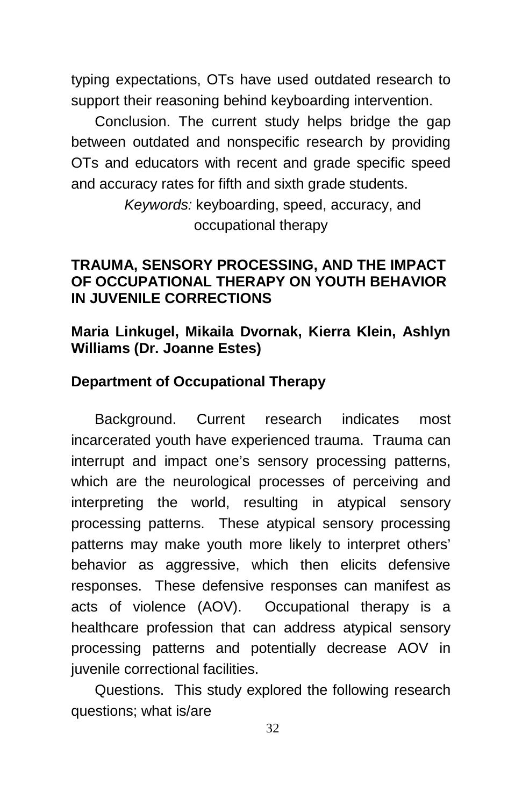typing expectations, OTs have used outdated research to support their reasoning behind keyboarding intervention.

Conclusion. The current study helps bridge the gap between outdated and nonspecific research by providing OTs and educators with recent and grade specific speed and accuracy rates for fifth and sixth grade students.

> *Keywords:* keyboarding, speed, accuracy, and occupational therapy

#### **TRAUMA, SENSORY PROCESSING, AND THE IMPACT OF OCCUPATIONAL THERAPY ON YOUTH BEHAVIOR IN JUVENILE CORRECTIONS**

#### **Maria Linkugel, Mikaila Dvornak, Kierra Klein, Ashlyn Williams (Dr. Joanne Estes)**

#### **Department of Occupational Therapy**

Background. Current research indicates most incarcerated youth have experienced trauma. Trauma can interrupt and impact one's sensory processing patterns, which are the neurological processes of perceiving and interpreting the world, resulting in atypical sensory processing patterns. These atypical sensory processing patterns may make youth more likely to interpret others' behavior as aggressive, which then elicits defensive responses. These defensive responses can manifest as acts of violence (AOV). Occupational therapy is a healthcare profession that can address atypical sensory processing patterns and potentially decrease AOV in juvenile correctional facilities.

Questions.This study explored the following research questions; what is/are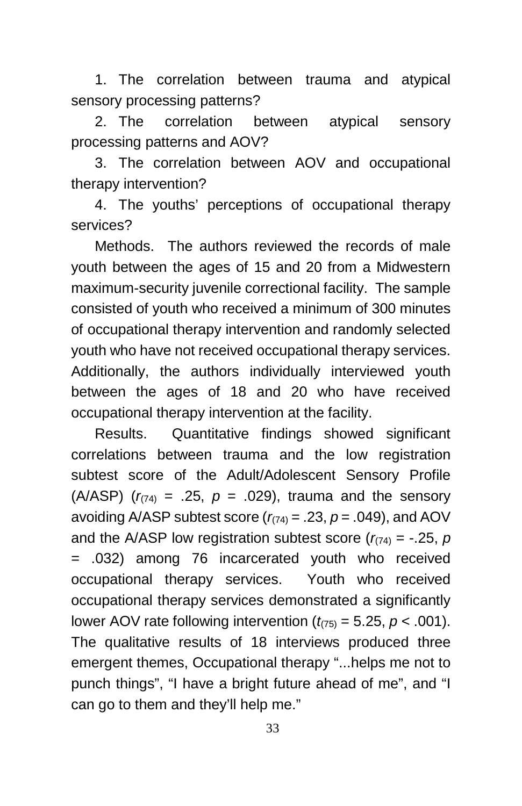1. The correlation between trauma and atypical sensory processing patterns?

2. The correlation between atypical sensory processing patterns and AOV?

3. The correlation between AOV and occupational therapy intervention?

4. The youths' perceptions of occupational therapy services?

Methods. The authors reviewed the records of male youth between the ages of 15 and 20 from a Midwestern maximum-security juvenile correctional facility. The sample consisted of youth who received a minimum of 300 minutes of occupational therapy intervention and randomly selected youth who have not received occupational therapy services. Additionally, the authors individually interviewed youth between the ages of 18 and 20 who have received occupational therapy intervention at the facility.

Results. Quantitative findings showed significant correlations between trauma and the low registration subtest score of the Adult/Adolescent Sensory Profile (A/ASP)  $(r_{(74)} = .25, p = .029)$ , trauma and the sensory avoiding A/ASP subtest score  $(r_{(74)} = .23, p = .049)$ , and AOV and the A/ASP low registration subtest score  $(r_{(74)} = -.25, p)$ = .032) among 76 incarcerated youth who received occupational therapy services. Youth who received occupational therapy services demonstrated a significantly lower AOV rate following intervention  $(t_{75)} = 5.25$ ,  $p < .001$ ). The qualitative results of 18 interviews produced three emergent themes, Occupational therapy "...helps me not to punch things", "I have a bright future ahead of me", and "I can go to them and they'll help me."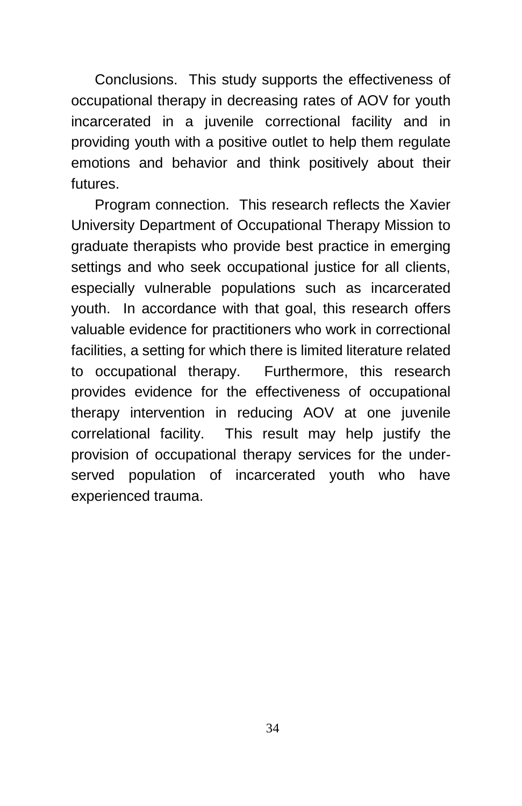Conclusions. This study supports the effectiveness of occupational therapy in decreasing rates of AOV for youth incarcerated in a juvenile correctional facility and in providing youth with a positive outlet to help them regulate emotions and behavior and think positively about their futures.

Program connection.This research reflects the Xavier University Department of Occupational Therapy Mission to graduate therapists who provide best practice in emerging settings and who seek occupational justice for all clients, especially vulnerable populations such as incarcerated youth. In accordance with that goal, this research offers valuable evidence for practitioners who work in correctional facilities, a setting for which there is limited literature related to occupational therapy. Furthermore, this research provides evidence for the effectiveness of occupational therapy intervention in reducing AOV at one juvenile correlational facility. This result may help justify the provision of occupational therapy services for the underserved population of incarcerated youth who have experienced trauma.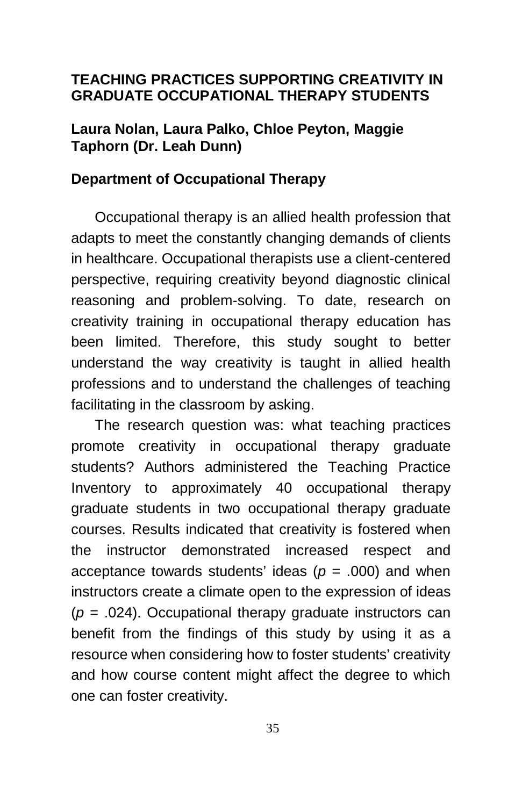# **TEACHING PRACTICES SUPPORTING CREATIVITY IN GRADUATE OCCUPATIONAL THERAPY STUDENTS**

# **Laura Nolan, Laura Palko, Chloe Peyton, Maggie Taphorn (Dr. Leah Dunn)**

### **Department of Occupational Therapy**

Occupational therapy is an allied health profession that adapts to meet the constantly changing demands of clients in healthcare. Occupational therapists use a client-centered perspective, requiring creativity beyond diagnostic clinical reasoning and problem-solving. To date, research on creativity training in occupational therapy education has been limited. Therefore, this study sought to better understand the way creativity is taught in allied health professions and to understand the challenges of teaching facilitating in the classroom by asking.

The research question was: what teaching practices promote creativity in occupational therapy graduate students? Authors administered the Teaching Practice Inventory to approximately 40 occupational therapy graduate students in two occupational therapy graduate courses. Results indicated that creativity is fostered when the instructor demonstrated increased respect and acceptance towards students' ideas (*p* = .000) and when instructors create a climate open to the expression of ideas (*p* = .024). Occupational therapy graduate instructors can benefit from the findings of this study by using it as a resource when considering how to foster students' creativity and how course content might affect the degree to which one can foster creativity.

35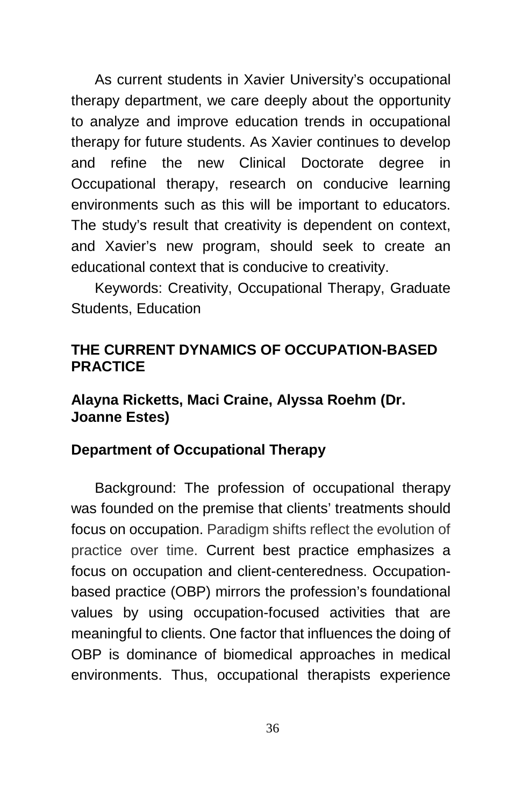As current students in Xavier University's occupational therapy department, we care deeply about the opportunity to analyze and improve education trends in occupational therapy for future students. As Xavier continues to develop and refine the new Clinical Doctorate degree in Occupational therapy, research on conducive learning environments such as this will be important to educators. The study's result that creativity is dependent on context, and Xavier's new program, should seek to create an educational context that is conducive to creativity.

Keywords: Creativity, Occupational Therapy, Graduate Students, Education

# **THE CURRENT DYNAMICS OF OCCUPATION-BASED PRACTICE**

# **Alayna Ricketts, Maci Craine, Alyssa Roehm (Dr. Joanne Estes)**

# **Department of Occupational Therapy**

Background: The profession of occupational therapy was founded on the premise that clients' treatments should focus on occupation. Paradigm shifts reflect the evolution of practice over time. Current best practice emphasizes a focus on occupation and client-centeredness. Occupationbased practice (OBP) mirrors the profession's foundational values by using occupation-focused activities that are meaningful to clients. One factor that influences the doing of OBP is dominance of biomedical approaches in medical environments. Thus, occupational therapists experience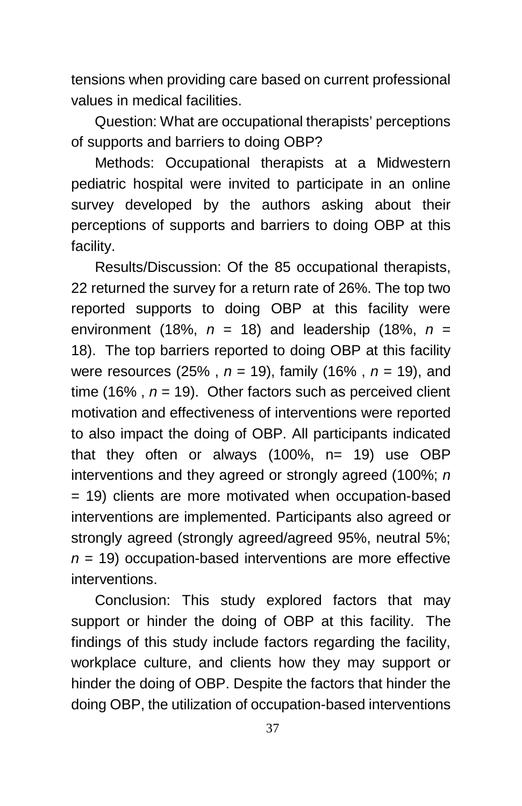tensions when providing care based on current professional values in medical facilities.

Question: What are occupational therapists' perceptions of supports and barriers to doing OBP?

Methods: Occupational therapists at a Midwestern pediatric hospital were invited to participate in an online survey developed by the authors asking about their perceptions of supports and barriers to doing OBP at this facility.

Results/Discussion: Of the 85 occupational therapists, 22 returned the survey for a return rate of 26%. The top two reported supports to doing OBP at this facility were environment (18%,  $n = 18$ ) and leadership (18%,  $n =$ 18). The top barriers reported to doing OBP at this facility were resources (25% , *n* = 19), family (16% , *n* = 19), and time (16%,  $n = 19$ ). Other factors such as perceived client motivation and effectiveness of interventions were reported to also impact the doing of OBP. All participants indicated that they often or always (100%, n= 19) use OBP interventions and they agreed or strongly agreed (100%; *n*  = 19) clients are more motivated when occupation-based interventions are implemented. Participants also agreed or strongly agreed (strongly agreed/agreed 95%, neutral 5%; *n* = 19) occupation-based interventions are more effective interventions.

Conclusion: This study explored factors that may support or hinder the doing of OBP at this facility. The findings of this study include factors regarding the facility, workplace culture, and clients how they may support or hinder the doing of OBP. Despite the factors that hinder the doing OBP, the utilization of occupation-based interventions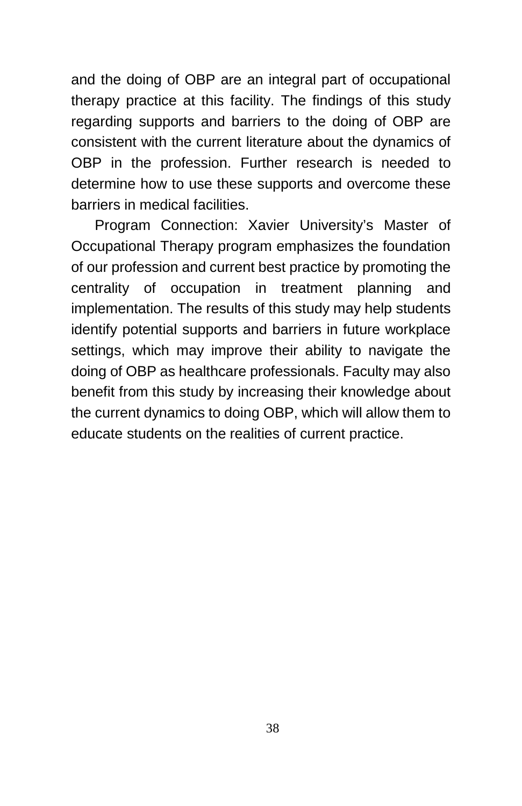and the doing of OBP are an integral part of occupational therapy practice at this facility. The findings of this study regarding supports and barriers to the doing of OBP are consistent with the current literature about the dynamics of OBP in the profession. Further research is needed to determine how to use these supports and overcome these barriers in medical facilities.

Program Connection: Xavier University's Master of Occupational Therapy program emphasizes the foundation of our profession and current best practice by promoting the centrality of occupation in treatment planning and implementation. The results of this study may help students identify potential supports and barriers in future workplace settings, which may improve their ability to navigate the doing of OBP as healthcare professionals. Faculty may also benefit from this study by increasing their knowledge about the current dynamics to doing OBP, which will allow them to educate students on the realities of current practice.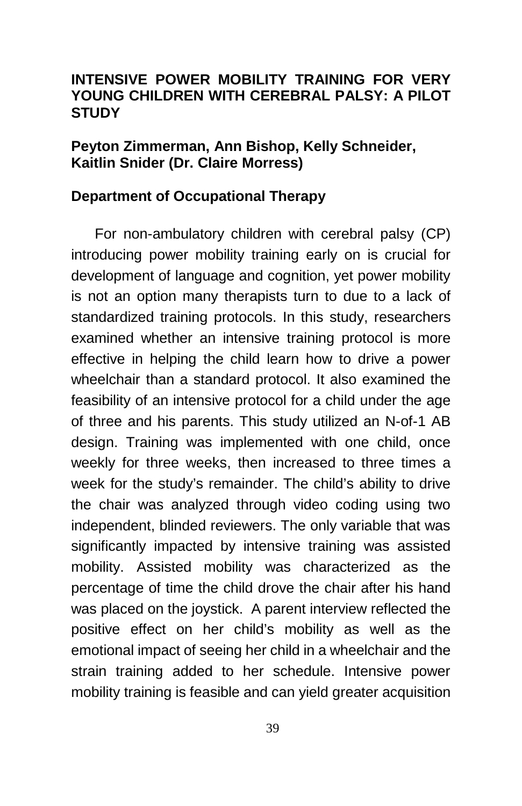## **INTENSIVE POWER MOBILITY TRAINING FOR VERY YOUNG CHILDREN WITH CEREBRAL PALSY: A PILOT STUDY**

## **Peyton Zimmerman, Ann Bishop, Kelly Schneider, Kaitlin Snider (Dr. Claire Morress)**

### **Department of Occupational Therapy**

For non-ambulatory children with cerebral palsy (CP) introducing power mobility training early on is crucial for development of language and cognition, yet power mobility is not an option many therapists turn to due to a lack of standardized training protocols. In this study, researchers examined whether an intensive training protocol is more effective in helping the child learn how to drive a power wheelchair than a standard protocol. It also examined the feasibility of an intensive protocol for a child under the age of three and his parents. This study utilized an N-of-1 AB design. Training was implemented with one child, once weekly for three weeks, then increased to three times a week for the study's remainder. The child's ability to drive the chair was analyzed through video coding using two independent, blinded reviewers. The only variable that was significantly impacted by intensive training was assisted mobility. Assisted mobility was characterized as the percentage of time the child drove the chair after his hand was placed on the joystick. A parent interview reflected the positive effect on her child's mobility as well as the emotional impact of seeing her child in a wheelchair and the strain training added to her schedule. Intensive power mobility training is feasible and can yield greater acquisition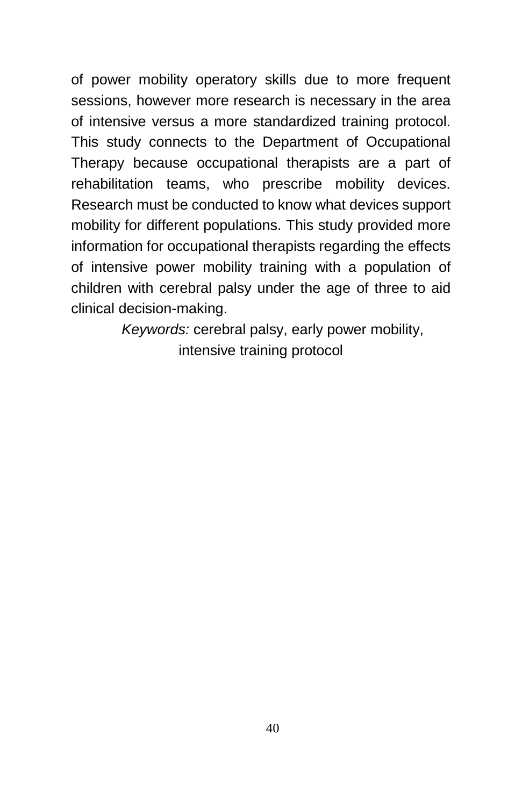of power mobility operatory skills due to more frequent sessions, however more research is necessary in the area of intensive versus a more standardized training protocol. This study connects to the Department of Occupational Therapy because occupational therapists are a part of rehabilitation teams, who prescribe mobility devices. Research must be conducted to know what devices support mobility for different populations. This study provided more information for occupational therapists regarding the effects of intensive power mobility training with a population of children with cerebral palsy under the age of three to aid clinical decision-making.

> *Keywords:* cerebral palsy, early power mobility, intensive training protocol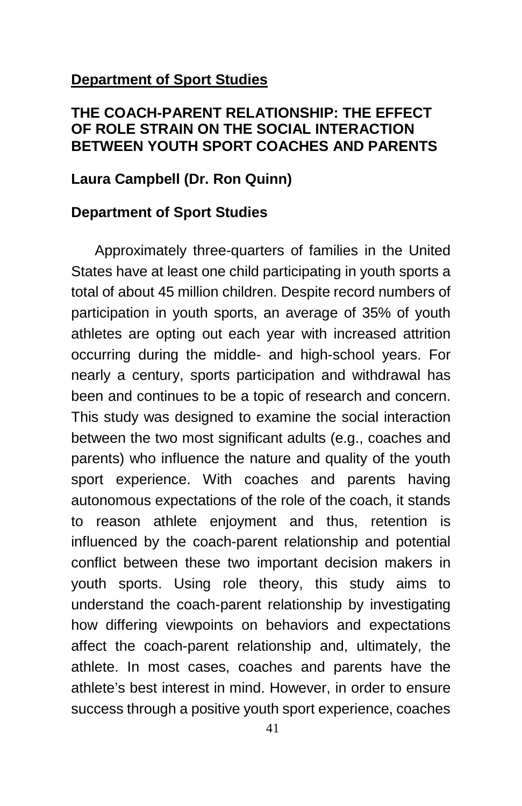### **Department of Sport Studies**

## **THE COACH-PARENT RELATIONSHIP: THE EFFECT OF ROLE STRAIN ON THE SOCIAL INTERACTION BETWEEN YOUTH SPORT COACHES AND PARENTS**

## **Laura Campbell (Dr. Ron Quinn)**

### **Department of Sport Studies**

Approximately three-quarters of families in the United States have at least one child participating in youth sports a total of about 45 million children. Despite record numbers of participation in youth sports, an average of 35% of youth athletes are opting out each year with increased attrition occurring during the middle- and high-school years. For nearly a century, sports participation and withdrawal has been and continues to be a topic of research and concern. This study was designed to examine the social interaction between the two most significant adults (e.g., coaches and parents) who influence the nature and quality of the youth sport experience. With coaches and parents having autonomous expectations of the role of the coach, it stands to reason athlete enjoyment and thus, retention is influenced by the coach-parent relationship and potential conflict between these two important decision makers in youth sports. Using role theory, this study aims to understand the coach-parent relationship by investigating how differing viewpoints on behaviors and expectations affect the coach-parent relationship and, ultimately, the athlete. In most cases, coaches and parents have the athlete's best interest in mind. However, in order to ensure success through a positive youth sport experience, coaches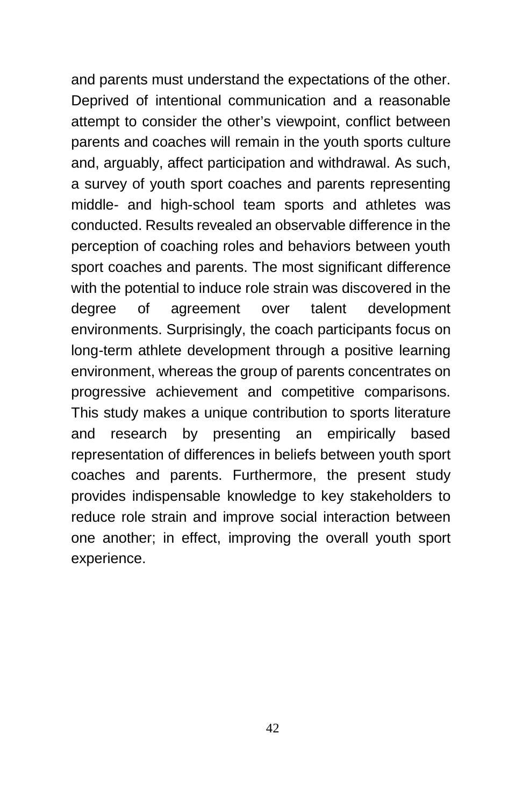and parents must understand the expectations of the other. Deprived of intentional communication and a reasonable attempt to consider the other's viewpoint, conflict between parents and coaches will remain in the youth sports culture and, arguably, affect participation and withdrawal. As such, a survey of youth sport coaches and parents representing middle- and high-school team sports and athletes was conducted. Results revealed an observable difference in the perception of coaching roles and behaviors between youth sport coaches and parents. The most significant difference with the potential to induce role strain was discovered in the degree of agreement over talent development environments. Surprisingly, the coach participants focus on long-term athlete development through a positive learning environment, whereas the group of parents concentrates on progressive achievement and competitive comparisons. This study makes a unique contribution to sports literature and research by presenting an empirically based representation of differences in beliefs between youth sport coaches and parents. Furthermore, the present study provides indispensable knowledge to key stakeholders to reduce role strain and improve social interaction between one another; in effect, improving the overall youth sport experience.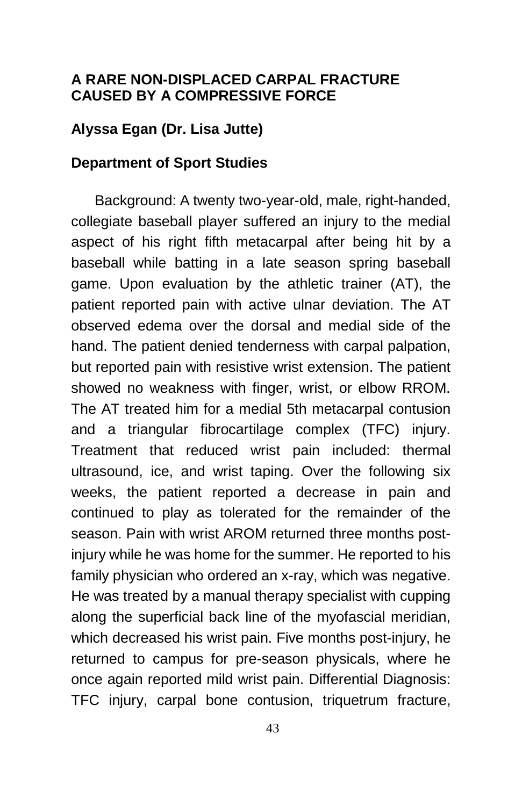### **A RARE NON-DISPLACED CARPAL FRACTURE CAUSED BY A COMPRESSIVE FORCE**

# **Alyssa Egan (Dr. Lisa Jutte)**

### **Department of Sport Studies**

Background: A twenty two-year-old, male, right-handed, collegiate baseball player suffered an injury to the medial aspect of his right fifth metacarpal after being hit by a baseball while batting in a late season spring baseball game. Upon evaluation by the athletic trainer (AT), the patient reported pain with active ulnar deviation. The AT observed edema over the dorsal and medial side of the hand. The patient denied tenderness with carpal palpation, but reported pain with resistive wrist extension. The patient showed no weakness with finger, wrist, or elbow RROM. The AT treated him for a medial 5th metacarpal contusion and a triangular fibrocartilage complex (TFC) injury. Treatment that reduced wrist pain included: thermal ultrasound, ice, and wrist taping. Over the following six weeks, the patient reported a decrease in pain and continued to play as tolerated for the remainder of the season. Pain with wrist AROM returned three months postinjury while he was home for the summer. He reported to his family physician who ordered an x-ray, which was negative. He was treated by a manual therapy specialist with cupping along the superficial back line of the myofascial meridian, which decreased his wrist pain. Five months post-injury, he returned to campus for pre-season physicals, where he once again reported mild wrist pain. Differential Diagnosis: TFC injury, carpal bone contusion, triquetrum fracture,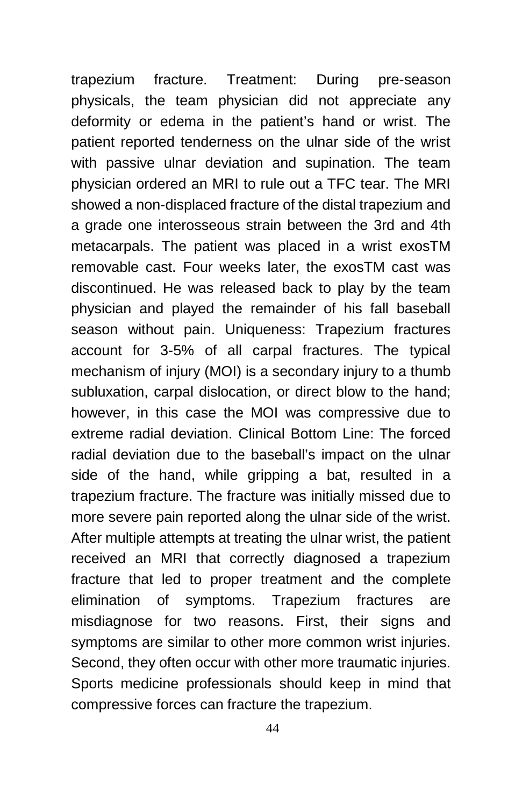trapezium fracture. Treatment: During pre-season physicals, the team physician did not appreciate any deformity or edema in the patient's hand or wrist. The patient reported tenderness on the ulnar side of the wrist with passive ulnar deviation and supination. The team physician ordered an MRI to rule out a TFC tear. The MRI showed a non-displaced fracture of the distal trapezium and a grade one interosseous strain between the 3rd and 4th metacarpals. The patient was placed in a wrist exosTM removable cast. Four weeks later, the exosTM cast was discontinued. He was released back to play by the team physician and played the remainder of his fall baseball season without pain. Uniqueness: Trapezium fractures account for 3-5% of all carpal fractures. The typical mechanism of injury (MOI) is a secondary injury to a thumb subluxation, carpal dislocation, or direct blow to the hand; however, in this case the MOI was compressive due to extreme radial deviation. Clinical Bottom Line: The forced radial deviation due to the baseball's impact on the ulnar side of the hand, while gripping a bat, resulted in a trapezium fracture. The fracture was initially missed due to more severe pain reported along the ulnar side of the wrist. After multiple attempts at treating the ulnar wrist, the patient received an MRI that correctly diagnosed a trapezium fracture that led to proper treatment and the complete elimination of symptoms. Trapezium fractures are misdiagnose for two reasons. First, their signs and symptoms are similar to other more common wrist injuries. Second, they often occur with other more traumatic injuries. Sports medicine professionals should keep in mind that compressive forces can fracture the trapezium.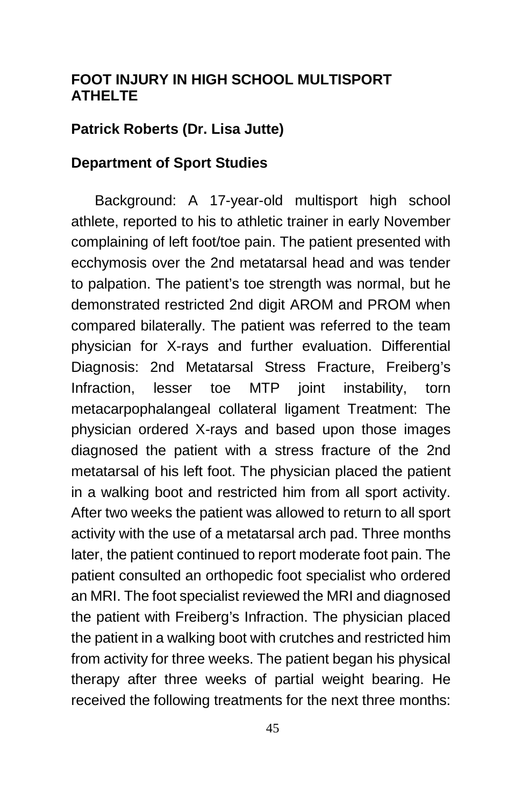## **FOOT INJURY IN HIGH SCHOOL MULTISPORT ATHELTE**

## **Patrick Roberts (Dr. Lisa Jutte)**

### **Department of Sport Studies**

Background: A 17-year-old multisport high school athlete, reported to his to athletic trainer in early November complaining of left foot/toe pain. The patient presented with ecchymosis over the 2nd metatarsal head and was tender to palpation. The patient's toe strength was normal, but he demonstrated restricted 2nd digit AROM and PROM when compared bilaterally. The patient was referred to the team physician for X-rays and further evaluation. Differential Diagnosis: 2nd Metatarsal Stress Fracture, Freiberg's Infraction, lesser toe MTP joint instability, torn metacarpophalangeal collateral ligament Treatment: The physician ordered X-rays and based upon those images diagnosed the patient with a stress fracture of the 2nd metatarsal of his left foot. The physician placed the patient in a walking boot and restricted him from all sport activity. After two weeks the patient was allowed to return to all sport activity with the use of a metatarsal arch pad. Three months later, the patient continued to report moderate foot pain. The patient consulted an orthopedic foot specialist who ordered an MRI. The foot specialist reviewed the MRI and diagnosed the patient with Freiberg's Infraction. The physician placed the patient in a walking boot with crutches and restricted him from activity for three weeks. The patient began his physical therapy after three weeks of partial weight bearing. He received the following treatments for the next three months: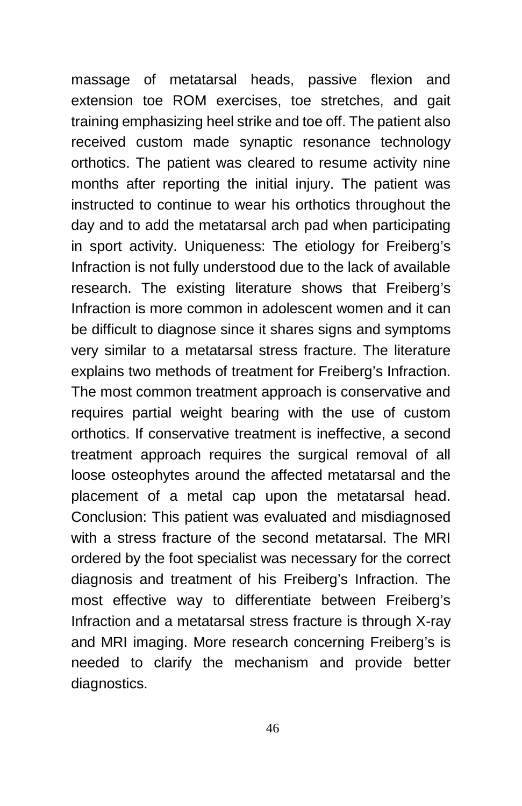massage of metatarsal heads, passive flexion and extension toe ROM exercises, toe stretches, and gait training emphasizing heel strike and toe off. The patient also received custom made synaptic resonance technology orthotics. The patient was cleared to resume activity nine months after reporting the initial injury. The patient was instructed to continue to wear his orthotics throughout the day and to add the metatarsal arch pad when participating in sport activity. Uniqueness: The etiology for Freiberg's Infraction is not fully understood due to the lack of available research. The existing literature shows that Freiberg's Infraction is more common in adolescent women and it can be difficult to diagnose since it shares signs and symptoms very similar to a metatarsal stress fracture. The literature explains two methods of treatment for Freiberg's Infraction. The most common treatment approach is conservative and requires partial weight bearing with the use of custom orthotics. If conservative treatment is ineffective, a second treatment approach requires the surgical removal of all loose osteophytes around the affected metatarsal and the placement of a metal cap upon the metatarsal head. Conclusion: This patient was evaluated and misdiagnosed with a stress fracture of the second metatarsal. The MRI ordered by the foot specialist was necessary for the correct diagnosis and treatment of his Freiberg's Infraction. The most effective way to differentiate between Freiberg's Infraction and a metatarsal stress fracture is through X-ray and MRI imaging. More research concerning Freiberg's is needed to clarify the mechanism and provide better diagnostics.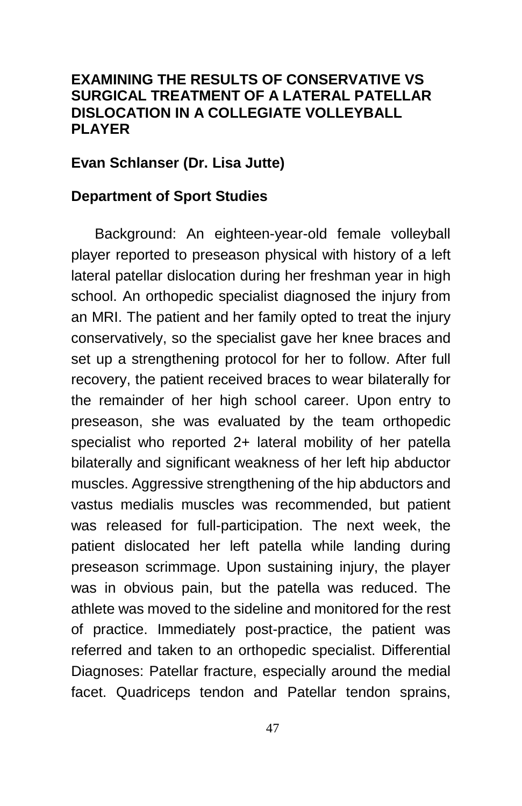## **EXAMINING THE RESULTS OF CONSERVATIVE VS SURGICAL TREATMENT OF A LATERAL PATELLAR DISLOCATION IN A COLLEGIATE VOLLEYBALL PLAYER**

### **Evan Schlanser (Dr. Lisa Jutte)**

### **Department of Sport Studies**

Background: An eighteen-year-old female volleyball player reported to preseason physical with history of a left lateral patellar dislocation during her freshman year in high school. An orthopedic specialist diagnosed the injury from an MRI. The patient and her family opted to treat the injury conservatively, so the specialist gave her knee braces and set up a strengthening protocol for her to follow. After full recovery, the patient received braces to wear bilaterally for the remainder of her high school career. Upon entry to preseason, she was evaluated by the team orthopedic specialist who reported 2+ lateral mobility of her patella bilaterally and significant weakness of her left hip abductor muscles. Aggressive strengthening of the hip abductors and vastus medialis muscles was recommended, but patient was released for full-participation. The next week, the patient dislocated her left patella while landing during preseason scrimmage. Upon sustaining injury, the player was in obvious pain, but the patella was reduced. The athlete was moved to the sideline and monitored for the rest of practice. Immediately post-practice, the patient was referred and taken to an orthopedic specialist. Differential Diagnoses: Patellar fracture, especially around the medial facet. Quadriceps tendon and Patellar tendon sprains,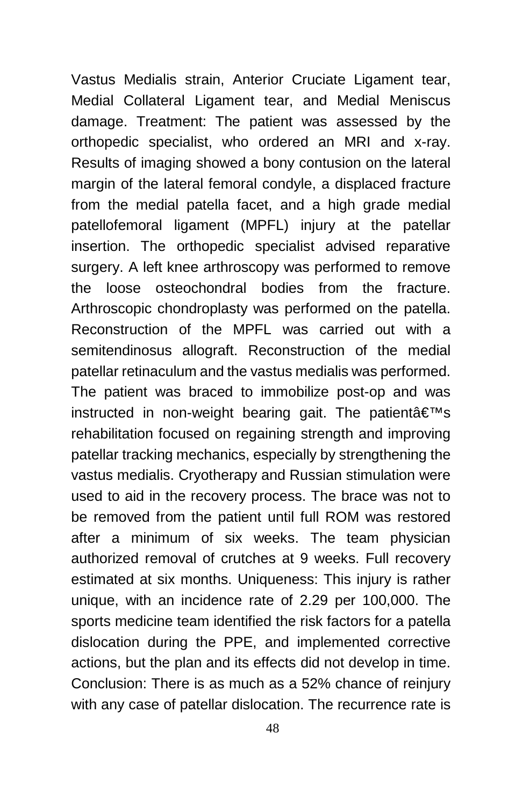Vastus Medialis strain, Anterior Cruciate Ligament tear, Medial Collateral Ligament tear, and Medial Meniscus damage. Treatment: The patient was assessed by the orthopedic specialist, who ordered an MRI and x-ray. Results of imaging showed a bony contusion on the lateral margin of the lateral femoral condyle, a displaced fracture from the medial patella facet, and a high grade medial patellofemoral ligament (MPFL) injury at the patellar insertion. The orthopedic specialist advised reparative surgery. A left knee arthroscopy was performed to remove the loose osteochondral bodies from the fracture. Arthroscopic chondroplasty was performed on the patella. Reconstruction of the MPFL was carried out with a semitendinosus allograft. Reconstruction of the medial patellar retinaculum and the vastus medialis was performed. The patient was braced to immobilize post-op and was instructed in non-weight bearing gait. The patient  $\hat{\mathbf{a}} \in \mathbb{S}^{m}$ s rehabilitation focused on regaining strength and improving patellar tracking mechanics, especially by strengthening the vastus medialis. Cryotherapy and Russian stimulation were used to aid in the recovery process. The brace was not to be removed from the patient until full ROM was restored after a minimum of six weeks. The team physician authorized removal of crutches at 9 weeks. Full recovery estimated at six months. Uniqueness: This injury is rather unique, with an incidence rate of 2.29 per 100,000. The sports medicine team identified the risk factors for a patella dislocation during the PPE, and implemented corrective actions, but the plan and its effects did not develop in time. Conclusion: There is as much as a 52% chance of reinjury with any case of patellar dislocation. The recurrence rate is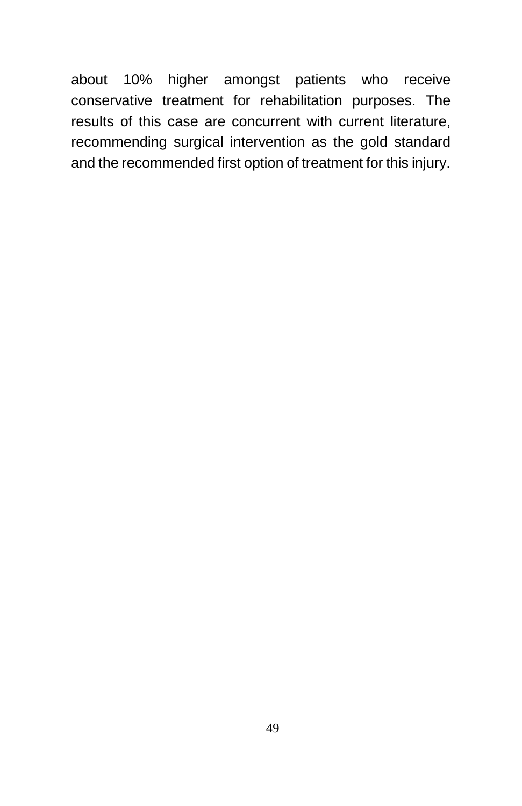about 10% higher amongst patients who receive conservative treatment for rehabilitation purposes. The results of this case are concurrent with current literature, recommending surgical intervention as the gold standard and the recommended first option of treatment for this injury.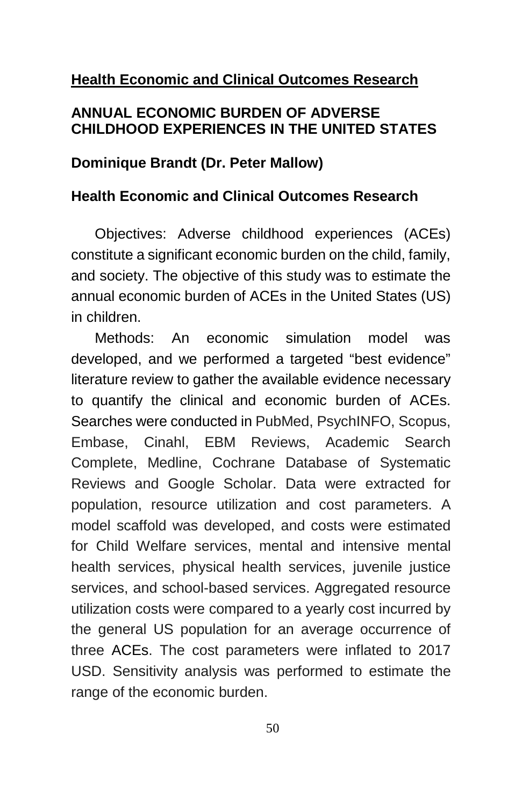# **Health Economic and Clinical Outcomes Research**

## **ANNUAL ECONOMIC BURDEN OF ADVERSE CHILDHOOD EXPERIENCES IN THE UNITED STATES**

### **Dominique Brandt (Dr. Peter Mallow)**

### **Health Economic and Clinical Outcomes Research**

Objectives: Adverse childhood experiences (ACEs) constitute a significant economic burden on the child, family, and society. The objective of this study was to estimate the annual economic burden of ACEs in the United States (US) in children.

Methods: An economic simulation model was developed, and we performed a targeted "best evidence" literature review to gather the available evidence necessary to quantify the clinical and economic burden of ACEs. Searches were conducted in PubMed, PsychINFO, Scopus, Embase, Cinahl, EBM Reviews, Academic Search Complete, Medline, Cochrane Database of Systematic Reviews and Google Scholar. Data were extracted for population, resource utilization and cost parameters. A model scaffold was developed, and costs were estimated for Child Welfare services, mental and intensive mental health services, physical health services, juvenile justice services, and school-based services. Aggregated resource utilization costs were compared to a yearly cost incurred by the general US population for an average occurrence of three ACEs. The cost parameters were inflated to 2017 USD. Sensitivity analysis was performed to estimate the range of the economic burden.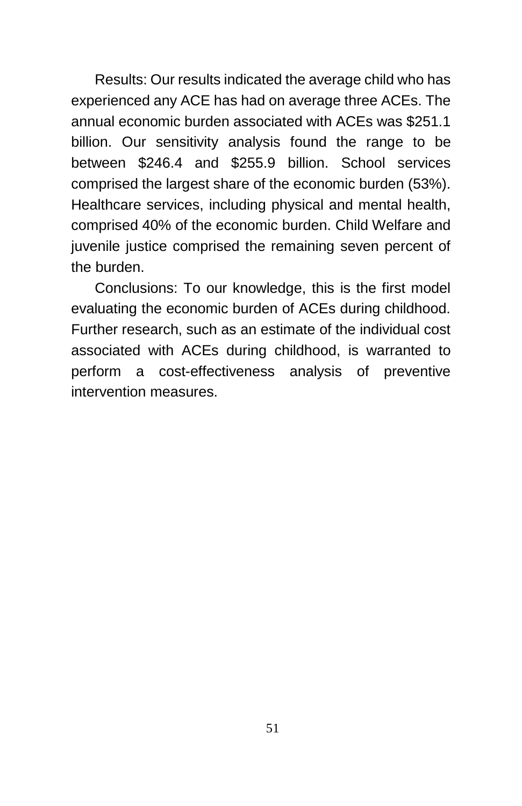Results: Our results indicated the average child who has experienced any ACE has had on average three ACEs. The annual economic burden associated with ACEs was \$251.1 billion. Our sensitivity analysis found the range to be between \$246.4 and \$255.9 billion. School services comprised the largest share of the economic burden (53%). Healthcare services, including physical and mental health, comprised 40% of the economic burden. Child Welfare and juvenile justice comprised the remaining seven percent of the burden.

Conclusions: To our knowledge, this is the first model evaluating the economic burden of ACEs during childhood. Further research, such as an estimate of the individual cost associated with ACEs during childhood, is warranted to perform a cost-effectiveness analysis of preventive intervention measures.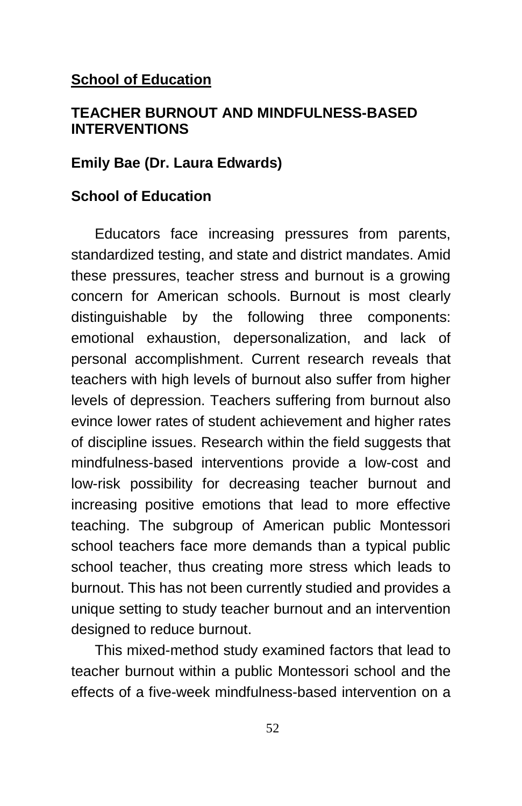### **School of Education**

## **TEACHER BURNOUT AND MINDFULNESS-BASED INTERVENTIONS**

### **Emily Bae (Dr. Laura Edwards)**

### **School of Education**

Educators face increasing pressures from parents, standardized testing, and state and district mandates. Amid these pressures, teacher stress and burnout is a growing concern for American schools. Burnout is most clearly distinguishable by the following three components: emotional exhaustion, depersonalization, and lack of personal accomplishment. Current research reveals that teachers with high levels of burnout also suffer from higher levels of depression. Teachers suffering from burnout also evince lower rates of student achievement and higher rates of discipline issues. Research within the field suggests that mindfulness-based interventions provide a low-cost and low-risk possibility for decreasing teacher burnout and increasing positive emotions that lead to more effective teaching. The subgroup of American public Montessori school teachers face more demands than a typical public school teacher, thus creating more stress which leads to burnout. This has not been currently studied and provides a unique setting to study teacher burnout and an intervention designed to reduce burnout.

This mixed-method study examined factors that lead to teacher burnout within a public Montessori school and the effects of a five-week mindfulness-based intervention on a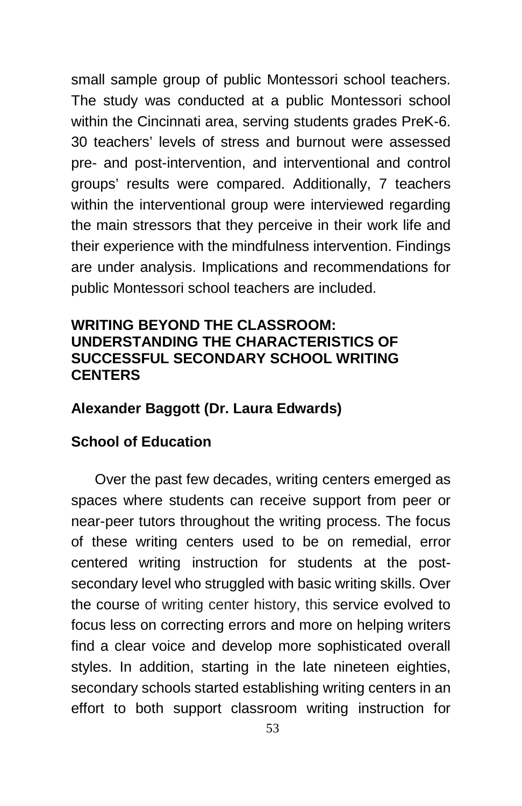small sample group of public Montessori school teachers. The study was conducted at a public Montessori school within the Cincinnati area, serving students grades PreK-6. 30 teachers' levels of stress and burnout were assessed pre- and post-intervention, and interventional and control groups' results were compared. Additionally, 7 teachers within the interventional group were interviewed regarding the main stressors that they perceive in their work life and their experience with the mindfulness intervention. Findings are under analysis. Implications and recommendations for public Montessori school teachers are included.

# **WRITING BEYOND THE CLASSROOM: UNDERSTANDING THE CHARACTERISTICS OF SUCCESSFUL SECONDARY SCHOOL WRITING CENTERS**

## **Alexander Baggott (Dr. Laura Edwards)**

# **School of Education**

Over the past few decades, writing centers emerged as spaces where students can receive support from peer or near-peer tutors throughout the writing process. The focus of these writing centers used to be on remedial, error centered writing instruction for students at the postsecondary level who struggled with basic writing skills. Over the course of writing center history, this service evolved to focus less on correcting errors and more on helping writers find a clear voice and develop more sophisticated overall styles. In addition, starting in the late nineteen eighties, secondary schools started establishing writing centers in an effort to both support classroom writing instruction for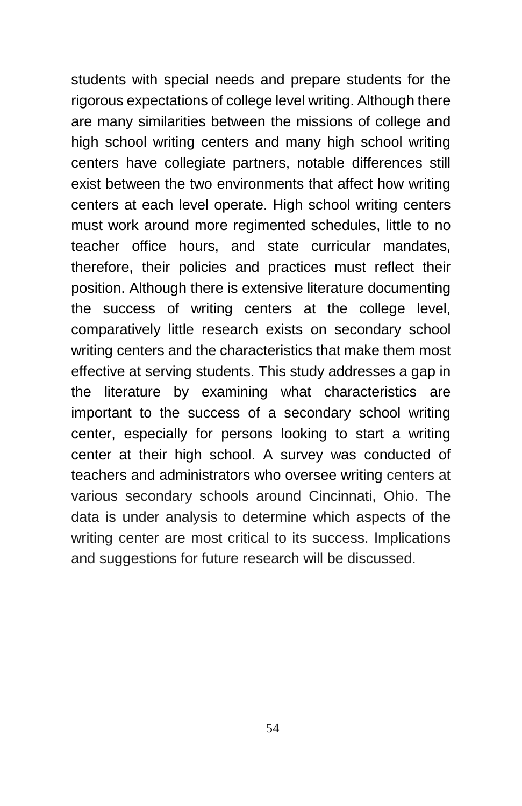students with special needs and prepare students for the rigorous expectations of college level writing. Although there are many similarities between the missions of college and high school writing centers and many high school writing centers have collegiate partners, notable differences still exist between the two environments that affect how writing centers at each level operate. High school writing centers must work around more regimented schedules, little to no teacher office hours, and state curricular mandates, therefore, their policies and practices must reflect their position. Although there is extensive literature documenting the success of writing centers at the college level, comparatively little research exists on secondary school writing centers and the characteristics that make them most effective at serving students. This study addresses a gap in the literature by examining what characteristics are important to the success of a secondary school writing center, especially for persons looking to start a writing center at their high school. A survey was conducted of teachers and administrators who oversee writing centers at various secondary schools around Cincinnati, Ohio. The data is under analysis to determine which aspects of the writing center are most critical to its success. Implications and suggestions for future research will be discussed.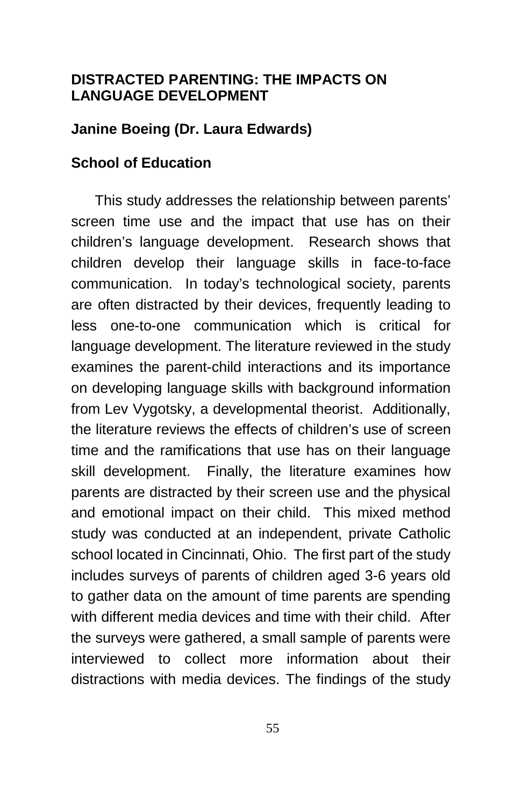## **DISTRACTED PARENTING: THE IMPACTS ON LANGUAGE DEVELOPMENT**

## **Janine Boeing (Dr. Laura Edwards)**

#### **School of Education**

This study addresses the relationship between parents' screen time use and the impact that use has on their children's language development. Research shows that children develop their language skills in face-to-face communication. In today's technological society, parents are often distracted by their devices, frequently leading to less one-to-one communication which is critical for language development. The literature reviewed in the study examines the parent-child interactions and its importance on developing language skills with background information from Lev Vygotsky, a developmental theorist. Additionally, the literature reviews the effects of children's use of screen time and the ramifications that use has on their language skill development. Finally, the literature examines how parents are distracted by their screen use and the physical and emotional impact on their child. This mixed method study was conducted at an independent, private Catholic school located in Cincinnati, Ohio. The first part of the study includes surveys of parents of children aged 3-6 years old to gather data on the amount of time parents are spending with different media devices and time with their child. After the surveys were gathered, a small sample of parents were interviewed to collect more information about their distractions with media devices. The findings of the study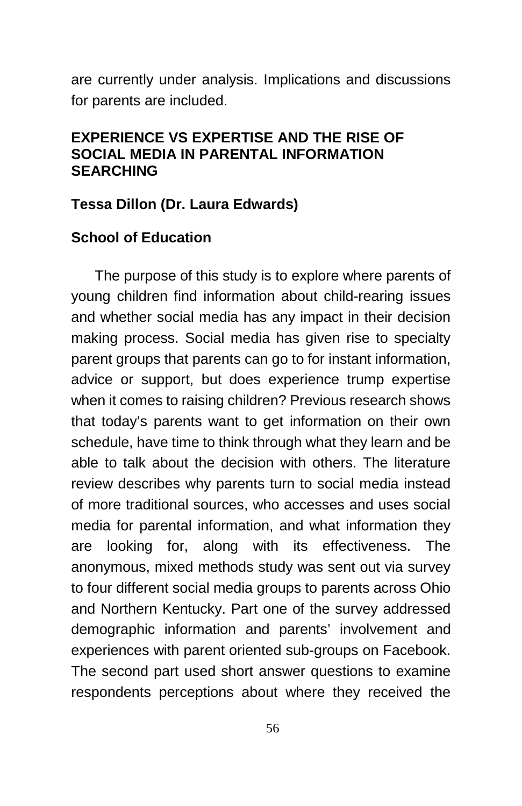are currently under analysis. Implications and discussions for parents are included.

## **EXPERIENCE VS EXPERTISE AND THE RISE OF SOCIAL MEDIA IN PARENTAL INFORMATION SEARCHING**

### **Tessa Dillon (Dr. Laura Edwards)**

### **School of Education**

The purpose of this study is to explore where parents of young children find information about child-rearing issues and whether social media has any impact in their decision making process. Social media has given rise to specialty parent groups that parents can go to for instant information, advice or support, but does experience trump expertise when it comes to raising children? Previous research shows that today's parents want to get information on their own schedule, have time to think through what they learn and be able to talk about the decision with others. The literature review describes why parents turn to social media instead of more traditional sources, who accesses and uses social media for parental information, and what information they are looking for, along with its effectiveness. The anonymous, mixed methods study was sent out via survey to four different social media groups to parents across Ohio and Northern Kentucky. Part one of the survey addressed demographic information and parents' involvement and experiences with parent oriented sub-groups on Facebook. The second part used short answer questions to examine respondents perceptions about where they received the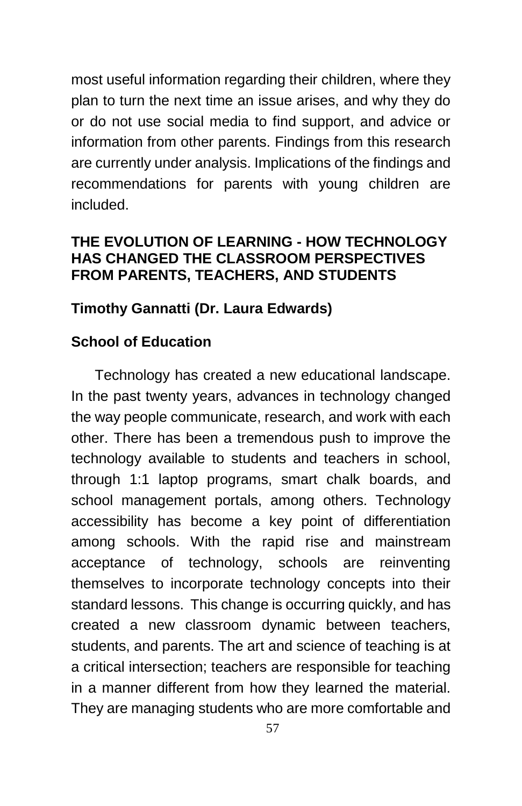most useful information regarding their children, where they plan to turn the next time an issue arises, and why they do or do not use social media to find support, and advice or information from other parents. Findings from this research are currently under analysis. Implications of the findings and recommendations for parents with young children are included.

# **THE EVOLUTION OF LEARNING - HOW TECHNOLOGY HAS CHANGED THE CLASSROOM PERSPECTIVES FROM PARENTS, TEACHERS, AND STUDENTS**

# **Timothy Gannatti (Dr. Laura Edwards)**

# **School of Education**

Technology has created a new educational landscape. In the past twenty years, advances in technology changed the way people communicate, research, and work with each other. There has been a tremendous push to improve the technology available to students and teachers in school, through 1:1 laptop programs, smart chalk boards, and school management portals, among others. Technology accessibility has become a key point of differentiation among schools. With the rapid rise and mainstream acceptance of technology, schools are reinventing themselves to incorporate technology concepts into their standard lessons. This change is occurring quickly, and has created a new classroom dynamic between teachers, students, and parents. The art and science of teaching is at a critical intersection; teachers are responsible for teaching in a manner different from how they learned the material. They are managing students who are more comfortable and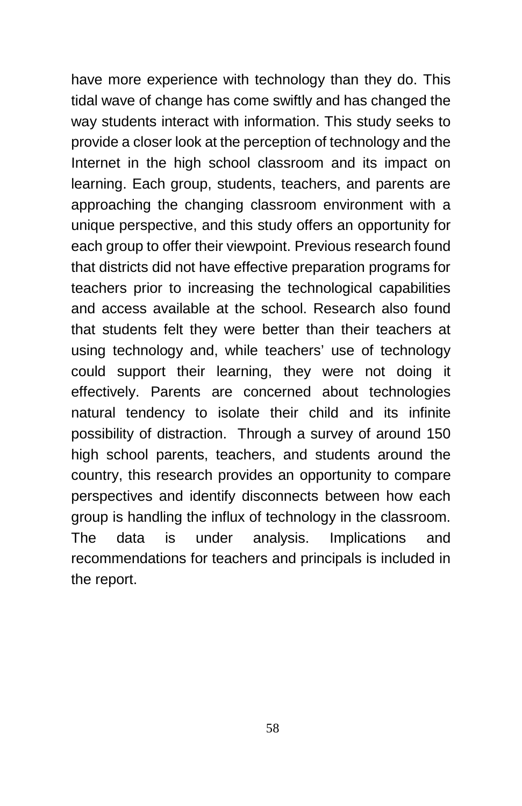have more experience with technology than they do. This tidal wave of change has come swiftly and has changed the way students interact with information. This study seeks to provide a closer look at the perception of technology and the Internet in the high school classroom and its impact on learning. Each group, students, teachers, and parents are approaching the changing classroom environment with a unique perspective, and this study offers an opportunity for each group to offer their viewpoint. Previous research found that districts did not have effective preparation programs for teachers prior to increasing the technological capabilities and access available at the school. Research also found that students felt they were better than their teachers at using technology and, while teachers' use of technology could support their learning, they were not doing it effectively. Parents are concerned about technologies natural tendency to isolate their child and its infinite possibility of distraction. Through a survey of around 150 high school parents, teachers, and students around the country, this research provides an opportunity to compare perspectives and identify disconnects between how each group is handling the influx of technology in the classroom. The data is under analysis. Implications and recommendations for teachers and principals is included in the report.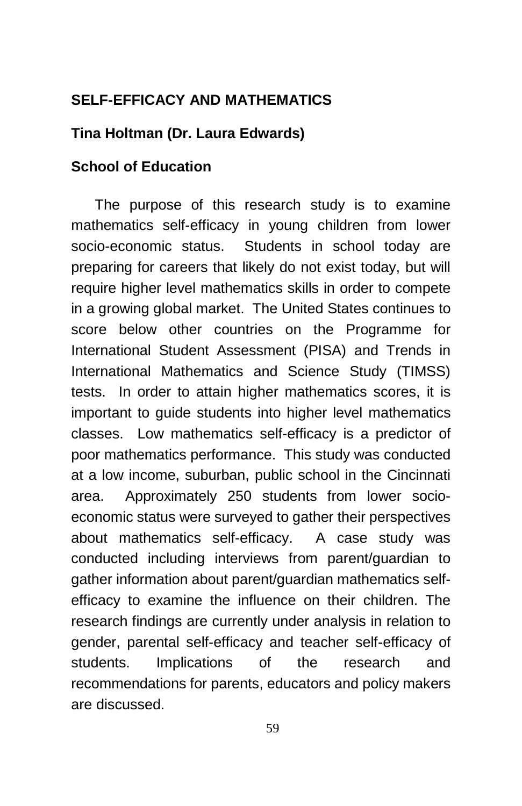# **SELF-EFFICACY AND MATHEMATICS**

# **Tina Holtman (Dr. Laura Edwards)**

# **School of Education**

The purpose of this research study is to examine mathematics self-efficacy in young children from lower socio-economic status. Students in school today are preparing for careers that likely do not exist today, but will require higher level mathematics skills in order to compete in a growing global market. The United States continues to score below other countries on the Programme for International Student Assessment (PISA) and Trends in International Mathematics and Science Study (TIMSS) tests. In order to attain higher mathematics scores, it is important to guide students into higher level mathematics classes. Low mathematics self-efficacy is a predictor of poor mathematics performance. This study was conducted at a low income, suburban, public school in the Cincinnati area. Approximately 250 students from lower socioeconomic status were surveyed to gather their perspectives about mathematics self-efficacy. A case study was conducted including interviews from parent/guardian to gather information about parent/guardian mathematics selfefficacy to examine the influence on their children. The research findings are currently under analysis in relation to gender, parental self-efficacy and teacher self-efficacy of students. Implications of the research and recommendations for parents, educators and policy makers are discussed.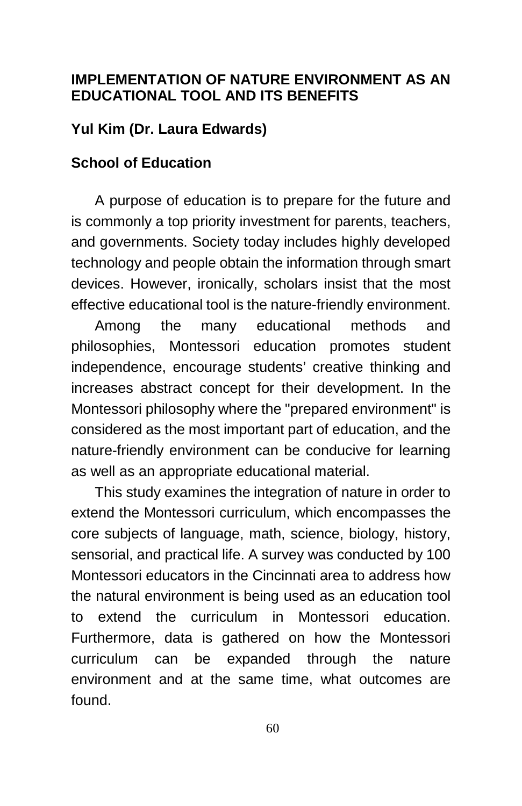## **IMPLEMENTATION OF NATURE ENVIRONMENT AS AN EDUCATIONAL TOOL AND ITS BENEFITS**

# **Yul Kim (Dr. Laura Edwards)**

## **School of Education**

A purpose of education is to prepare for the future and is commonly a top priority investment for parents, teachers, and governments. Society today includes highly developed technology and people obtain the information through smart devices. However, ironically, scholars insist that the most effective educational tool is the nature-friendly environment.

Among the many educational methods and philosophies, Montessori education promotes student independence, encourage students' creative thinking and increases abstract concept for their development. In the Montessori philosophy where the "prepared environment" is considered as the most important part of education, and the nature-friendly environment can be conducive for learning as well as an appropriate educational material.

This study examines the integration of nature in order to extend the Montessori curriculum, which encompasses the core subjects of language, math, science, biology, history, sensorial, and practical life. A survey was conducted by 100 Montessori educators in the Cincinnati area to address how the natural environment is being used as an education tool to extend the curriculum in Montessori education. Furthermore, data is gathered on how the Montessori curriculum can be expanded through the nature environment and at the same time, what outcomes are found.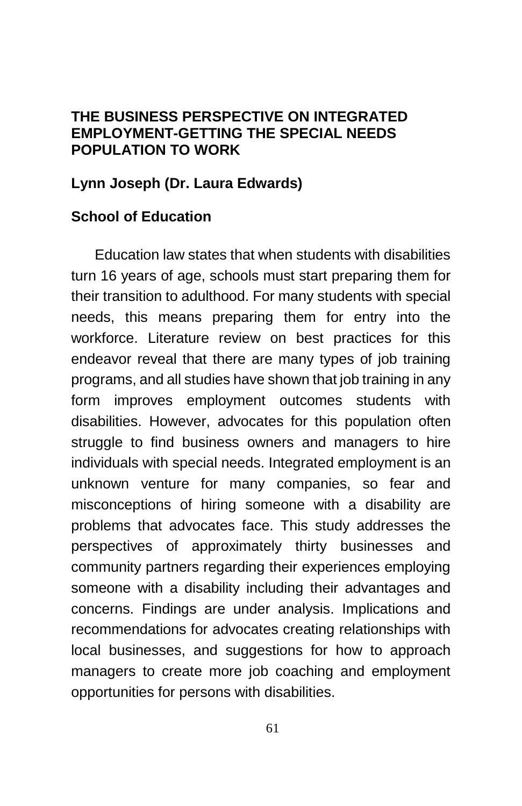## **THE BUSINESS PERSPECTIVE ON INTEGRATED EMPLOYMENT-GETTING THE SPECIAL NEEDS POPULATION TO WORK**

### **Lynn Joseph (Dr. Laura Edwards)**

## **School of Education**

Education law states that when students with disabilities turn 16 years of age, schools must start preparing them for their transition to adulthood. For many students with special needs, this means preparing them for entry into the workforce. Literature review on best practices for this endeavor reveal that there are many types of job training programs, and all studies have shown that job training in any form improves employment outcomes students with disabilities. However, advocates for this population often struggle to find business owners and managers to hire individuals with special needs. Integrated employment is an unknown venture for many companies, so fear and misconceptions of hiring someone with a disability are problems that advocates face. This study addresses the perspectives of approximately thirty businesses and community partners regarding their experiences employing someone with a disability including their advantages and concerns. Findings are under analysis. Implications and recommendations for advocates creating relationships with local businesses, and suggestions for how to approach managers to create more job coaching and employment opportunities for persons with disabilities.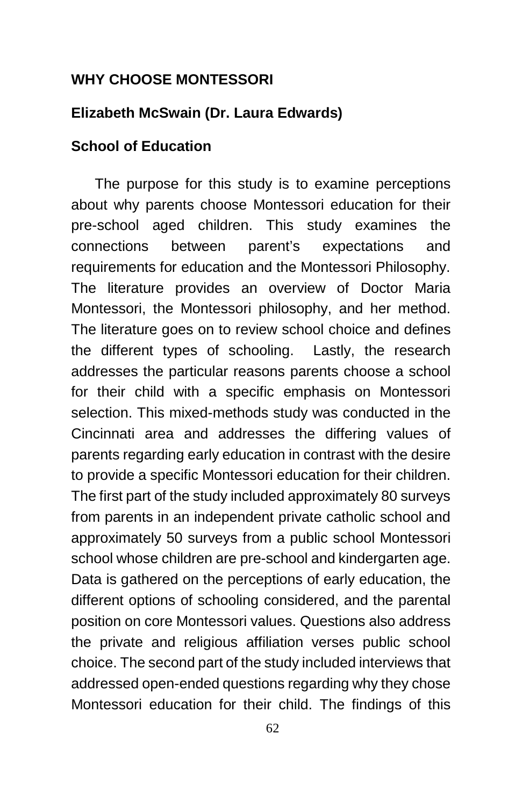## **WHY CHOOSE MONTESSORI**

### **Elizabeth McSwain (Dr. Laura Edwards)**

#### **School of Education**

The purpose for this study is to examine perceptions about why parents choose Montessori education for their pre-school aged children. This study examines the connections between parent's expectations and requirements for education and the Montessori Philosophy. The literature provides an overview of Doctor Maria Montessori, the Montessori philosophy, and her method. The literature goes on to review school choice and defines the different types of schooling. Lastly, the research addresses the particular reasons parents choose a school for their child with a specific emphasis on Montessori selection. This mixed-methods study was conducted in the Cincinnati area and addresses the differing values of parents regarding early education in contrast with the desire to provide a specific Montessori education for their children. The first part of the study included approximately 80 surveys from parents in an independent private catholic school and approximately 50 surveys from a public school Montessori school whose children are pre-school and kindergarten age. Data is gathered on the perceptions of early education, the different options of schooling considered, and the parental position on core Montessori values. Questions also address the private and religious affiliation verses public school choice. The second part of the study included interviews that addressed open-ended questions regarding why they chose Montessori education for their child. The findings of this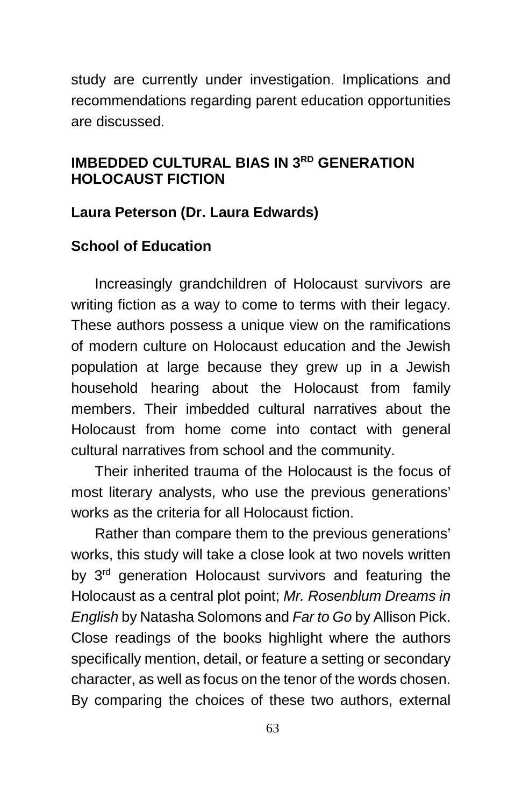study are currently under investigation. Implications and recommendations regarding parent education opportunities are discussed.

# **IMBEDDED CULTURAL BIAS IN 3RD GENERATION HOLOCAUST FICTION**

# **Laura Peterson (Dr. Laura Edwards)**

# **School of Education**

Increasingly grandchildren of Holocaust survivors are writing fiction as a way to come to terms with their legacy. These authors possess a unique view on the ramifications of modern culture on Holocaust education and the Jewish population at large because they grew up in a Jewish household hearing about the Holocaust from family members. Their imbedded cultural narratives about the Holocaust from home come into contact with general cultural narratives from school and the community.

Their inherited trauma of the Holocaust is the focus of most literary analysts, who use the previous generations' works as the criteria for all Holocaust fiction.

Rather than compare them to the previous generations' works, this study will take a close look at two novels written by 3<sup>rd</sup> generation Holocaust survivors and featuring the Holocaust as a central plot point; *Mr. Rosenblum Dreams in English* by Natasha Solomons and *Far to Go* by Allison Pick. Close readings of the books highlight where the authors specifically mention, detail, or feature a setting or secondary character, as well as focus on the tenor of the words chosen. By comparing the choices of these two authors, external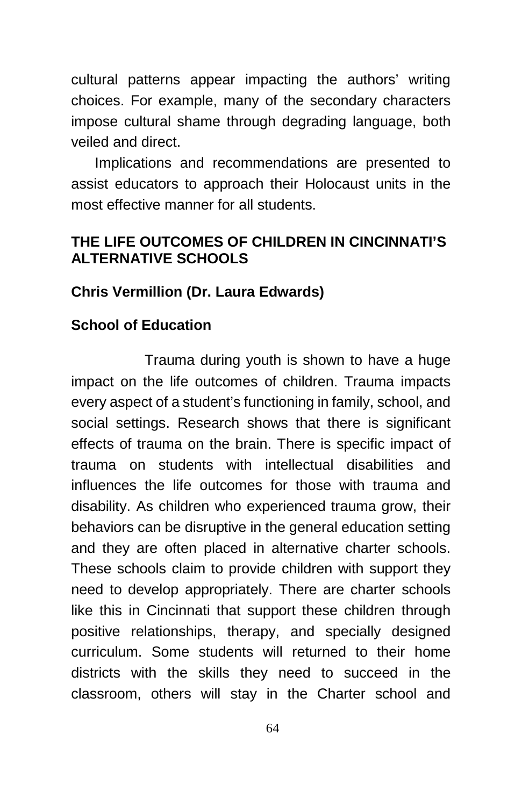cultural patterns appear impacting the authors' writing choices. For example, many of the secondary characters impose cultural shame through degrading language, both veiled and direct.

Implications and recommendations are presented to assist educators to approach their Holocaust units in the most effective manner for all students.

# **THE LIFE OUTCOMES OF CHILDREN IN CINCINNATI'S ALTERNATIVE SCHOOLS**

# **Chris Vermillion (Dr. Laura Edwards)**

# **School of Education**

 Trauma during youth is shown to have a huge impact on the life outcomes of children. Trauma impacts every aspect of a student's functioning in family, school, and social settings. Research shows that there is significant effects of trauma on the brain. There is specific impact of trauma on students with intellectual disabilities and influences the life outcomes for those with trauma and disability. As children who experienced trauma grow, their behaviors can be disruptive in the general education setting and they are often placed in alternative charter schools. These schools claim to provide children with support they need to develop appropriately. There are charter schools like this in Cincinnati that support these children through positive relationships, therapy, and specially designed curriculum. Some students will returned to their home districts with the skills they need to succeed in the classroom, others will stay in the Charter school and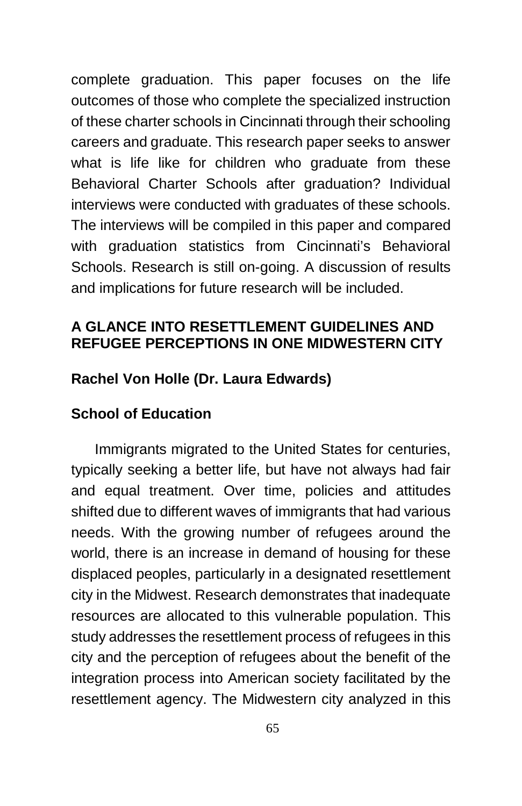complete graduation. This paper focuses on the life outcomes of those who complete the specialized instruction of these charter schools in Cincinnati through their schooling careers and graduate. This research paper seeks to answer what is life like for children who graduate from these Behavioral Charter Schools after graduation? Individual interviews were conducted with graduates of these schools. The interviews will be compiled in this paper and compared with graduation statistics from Cincinnati's Behavioral Schools. Research is still on-going. A discussion of results and implications for future research will be included.

# **A GLANCE INTO RESETTLEMENT GUIDELINES AND REFUGEE PERCEPTIONS IN ONE MIDWESTERN CITY**

# **Rachel Von Holle (Dr. Laura Edwards)**

## **School of Education**

Immigrants migrated to the United States for centuries, typically seeking a better life, but have not always had fair and equal treatment. Over time, policies and attitudes shifted due to different waves of immigrants that had various needs. With the growing number of refugees around the world, there is an increase in demand of housing for these displaced peoples, particularly in a designated resettlement city in the Midwest. Research demonstrates that inadequate resources are allocated to this vulnerable population. This study addresses the resettlement process of refugees in this city and the perception of refugees about the benefit of the integration process into American society facilitated by the resettlement agency. The Midwestern city analyzed in this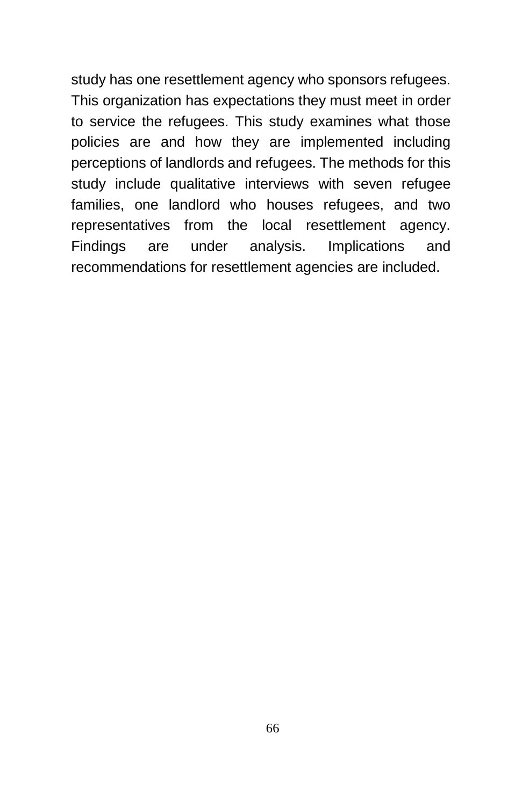study has one resettlement agency who sponsors refugees. This organization has expectations they must meet in order to service the refugees. This study examines what those policies are and how they are implemented including perceptions of landlords and refugees. The methods for this study include qualitative interviews with seven refugee families, one landlord who houses refugees, and two representatives from the local resettlement agency. Findings are under analysis. Implications and recommendations for resettlement agencies are included.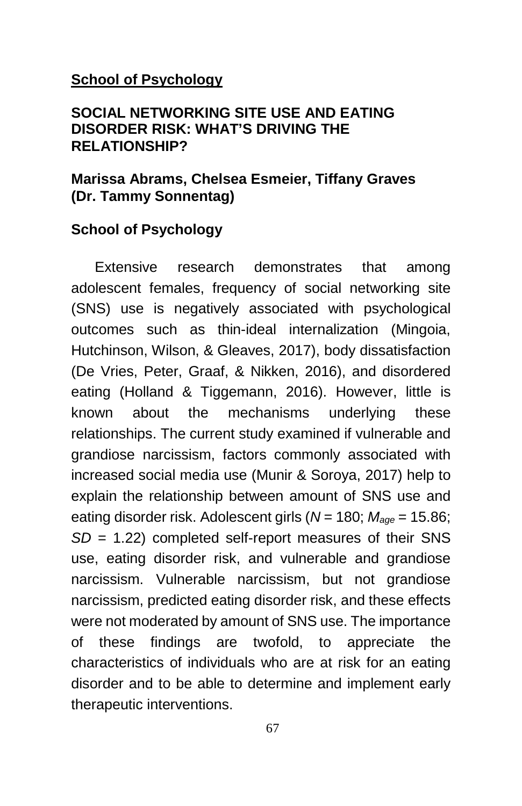### **School of Psychology**

## **SOCIAL NETWORKING SITE USE AND EATING DISORDER RISK: WHAT'S DRIVING THE RELATIONSHIP?**

## **Marissa Abrams, Chelsea Esmeier, Tiffany Graves (Dr. Tammy Sonnentag)**

## **School of Psychology**

Extensive research demonstrates that among adolescent females, frequency of social networking site (SNS) use is negatively associated with psychological outcomes such as thin-ideal internalization (Mingoia, Hutchinson, Wilson, & Gleaves, 2017), body dissatisfaction (De Vries, Peter, Graaf, & Nikken, 2016), and disordered eating (Holland & Tiggemann, 2016). However, little is known about the mechanisms underlying these relationships. The current study examined if vulnerable and grandiose narcissism, factors commonly associated with increased social media use (Munir & Soroya, 2017) help to explain the relationship between amount of SNS use and eating disorder risk. Adolescent girls (*N* = 180; *Mage* = 15.86; *SD* = 1.22) completed self-report measures of their SNS use, eating disorder risk, and vulnerable and grandiose narcissism. Vulnerable narcissism, but not grandiose narcissism, predicted eating disorder risk, and these effects were not moderated by amount of SNS use. The importance of these findings are twofold, to appreciate the characteristics of individuals who are at risk for an eating disorder and to be able to determine and implement early therapeutic interventions.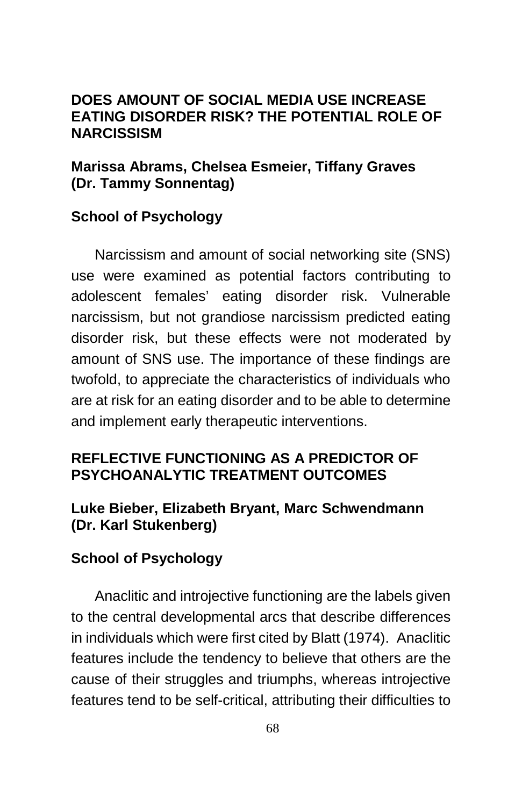### **DOES AMOUNT OF SOCIAL MEDIA USE INCREASE EATING DISORDER RISK? THE POTENTIAL ROLE OF NARCISSISM**

# **Marissa Abrams, Chelsea Esmeier, Tiffany Graves (Dr. Tammy Sonnentag)**

# **School of Psychology**

Narcissism and amount of social networking site (SNS) use were examined as potential factors contributing to adolescent females' eating disorder risk. Vulnerable narcissism, but not grandiose narcissism predicted eating disorder risk, but these effects were not moderated by amount of SNS use. The importance of these findings are twofold, to appreciate the characteristics of individuals who are at risk for an eating disorder and to be able to determine and implement early therapeutic interventions.

# **REFLECTIVE FUNCTIONING AS A PREDICTOR OF PSYCHOANALYTIC TREATMENT OUTCOMES**

# **Luke Bieber, Elizabeth Bryant, Marc Schwendmann (Dr. Karl Stukenberg)**

# **School of Psychology**

Anaclitic and introjective functioning are the labels given to the central developmental arcs that describe differences in individuals which were first cited by Blatt (1974). Anaclitic features include the tendency to believe that others are the cause of their struggles and triumphs, whereas introjective features tend to be self-critical, attributing their difficulties to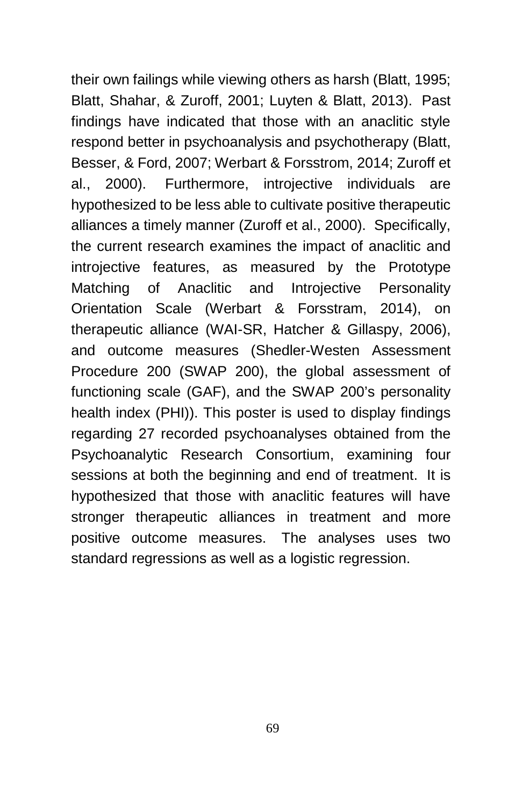their own failings while viewing others as harsh (Blatt, 1995; Blatt, Shahar, & Zuroff, 2001; Luyten & Blatt, 2013). Past findings have indicated that those with an anaclitic style respond better in psychoanalysis and psychotherapy (Blatt, Besser, & Ford, 2007; Werbart & Forsstrom, 2014; Zuroff et al., 2000). Furthermore, introjective individuals are hypothesized to be less able to cultivate positive therapeutic alliances a timely manner (Zuroff et al., 2000). Specifically, the current research examines the impact of anaclitic and introjective features, as measured by the Prototype Matching of Anaclitic and Introjective Personality Orientation Scale (Werbart & Forsstram, 2014), on therapeutic alliance (WAI-SR, Hatcher & Gillaspy, 2006), and outcome measures (Shedler-Westen Assessment Procedure 200 (SWAP 200), the global assessment of functioning scale (GAF), and the SWAP 200's personality health index (PHI)). This poster is used to display findings regarding 27 recorded psychoanalyses obtained from the Psychoanalytic Research Consortium, examining four sessions at both the beginning and end of treatment. It is hypothesized that those with anaclitic features will have stronger therapeutic alliances in treatment and more positive outcome measures. The analyses uses two standard regressions as well as a logistic regression.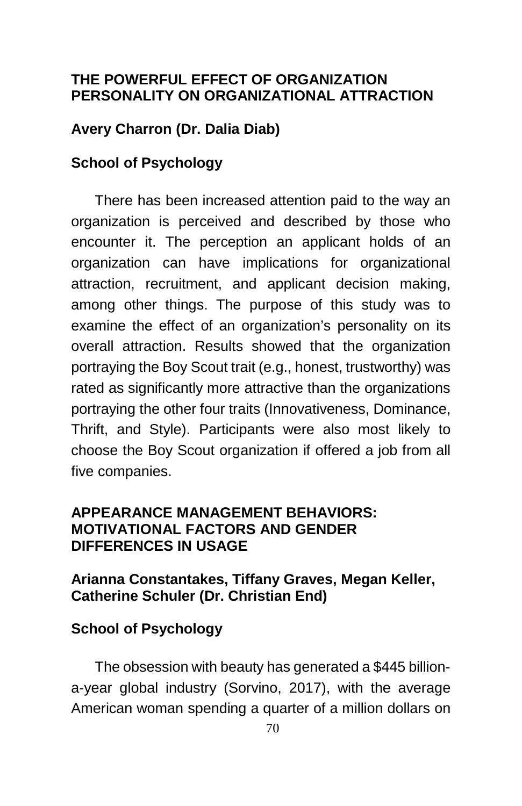### **THE POWERFUL EFFECT OF ORGANIZATION PERSONALITY ON ORGANIZATIONAL ATTRACTION**

## **Avery Charron (Dr. Dalia Diab)**

### **School of Psychology**

There has been increased attention paid to the way an organization is perceived and described by those who encounter it. The perception an applicant holds of an organization can have implications for organizational attraction, recruitment, and applicant decision making, among other things. The purpose of this study was to examine the effect of an organization's personality on its overall attraction. Results showed that the organization portraying the Boy Scout trait (e.g., honest, trustworthy) was rated as significantly more attractive than the organizations portraying the other four traits (Innovativeness, Dominance, Thrift, and Style). Participants were also most likely to choose the Boy Scout organization if offered a job from all five companies.

### **APPEARANCE MANAGEMENT BEHAVIORS: MOTIVATIONAL FACTORS AND GENDER DIFFERENCES IN USAGE**

# **Arianna Constantakes, Tiffany Graves, Megan Keller, Catherine Schuler (Dr. Christian End)**

# **School of Psychology**

The obsession with beauty has generated a \$445 billiona-year global industry (Sorvino, 2017), with the average American woman spending a quarter of a million dollars on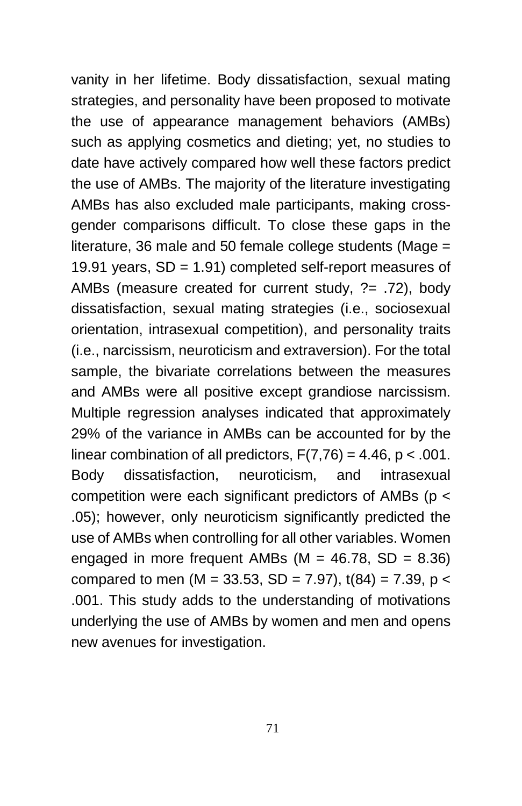vanity in her lifetime. Body dissatisfaction, sexual mating strategies, and personality have been proposed to motivate the use of appearance management behaviors (AMBs) such as applying cosmetics and dieting; yet, no studies to date have actively compared how well these factors predict the use of AMBs. The majority of the literature investigating AMBs has also excluded male participants, making crossgender comparisons difficult. To close these gaps in the literature, 36 male and 50 female college students (Mage = 19.91 years, SD = 1.91) completed self-report measures of AMBs (measure created for current study, ?= .72), body dissatisfaction, sexual mating strategies (i.e., sociosexual orientation, intrasexual competition), and personality traits (i.e., narcissism, neuroticism and extraversion). For the total sample, the bivariate correlations between the measures and AMBs were all positive except grandiose narcissism. Multiple regression analyses indicated that approximately 29% of the variance in AMBs can be accounted for by the linear combination of all predictors,  $F(7,76) = 4.46$ ,  $p < .001$ . Body dissatisfaction, neuroticism, and intrasexual competition were each significant predictors of AMBs ( $p <$ .05); however, only neuroticism significantly predicted the use of AMBs when controlling for all other variables. Women engaged in more frequent AMBs ( $M = 46.78$ , SD = 8.36) compared to men (M = 33.53, SD = 7.97),  $t(84) = 7.39$ , p < .001. This study adds to the understanding of motivations underlying the use of AMBs by women and men and opens new avenues for investigation.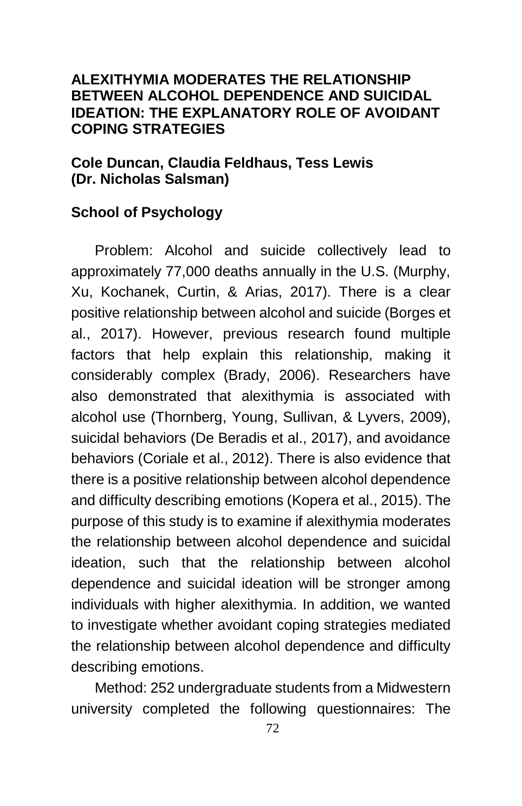#### **ALEXITHYMIA MODERATES THE RELATIONSHIP BETWEEN ALCOHOL DEPENDENCE AND SUICIDAL IDEATION: THE EXPLANATORY ROLE OF AVOIDANT COPING STRATEGIES**

### **Cole Duncan, Claudia Feldhaus, Tess Lewis (Dr. Nicholas Salsman)**

# **School of Psychology**

Problem: Alcohol and suicide collectively lead to approximately 77,000 deaths annually in the U.S. (Murphy, Xu, Kochanek, Curtin, & Arias, 2017). There is a clear positive relationship between alcohol and suicide (Borges et al., 2017). However, previous research found multiple factors that help explain this relationship, making it considerably complex (Brady, 2006). Researchers have also demonstrated that alexithymia is associated with alcohol use (Thornberg, Young, Sullivan, & Lyvers, 2009), suicidal behaviors (De Beradis et al., 2017), and avoidance behaviors (Coriale et al., 2012). There is also evidence that there is a positive relationship between alcohol dependence and difficulty describing emotions (Kopera et al., 2015). The purpose of this study is to examine if alexithymia moderates the relationship between alcohol dependence and suicidal ideation, such that the relationship between alcohol dependence and suicidal ideation will be stronger among individuals with higher alexithymia. In addition, we wanted to investigate whether avoidant coping strategies mediated the relationship between alcohol dependence and difficulty describing emotions.

Method: 252 undergraduate students from a Midwestern university completed the following questionnaires: The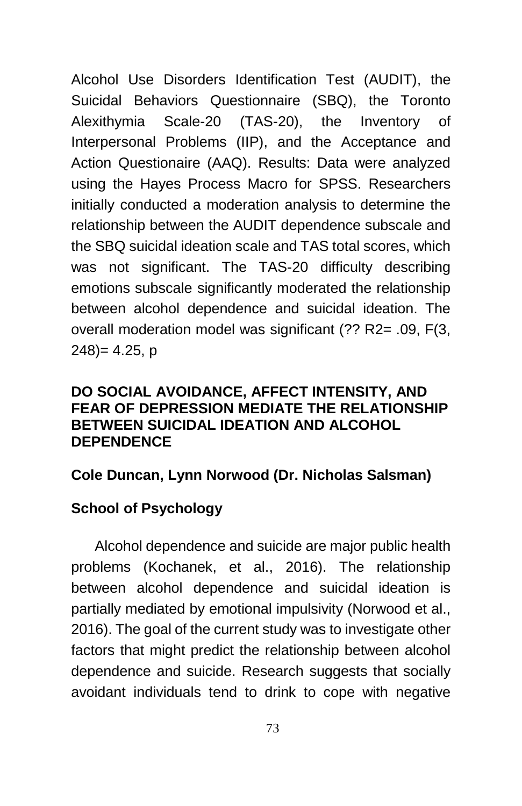Alcohol Use Disorders Identification Test (AUDIT), the Suicidal Behaviors Questionnaire (SBQ), the Toronto Alexithymia Scale-20 (TAS-20), the Inventory of Interpersonal Problems (IIP), and the Acceptance and Action Questionaire (AAQ). Results: Data were analyzed using the Hayes Process Macro for SPSS. Researchers initially conducted a moderation analysis to determine the relationship between the AUDIT dependence subscale and the SBQ suicidal ideation scale and TAS total scores, which was not significant. The TAS-20 difficulty describing emotions subscale significantly moderated the relationship between alcohol dependence and suicidal ideation. The overall moderation model was significant (?? R2= .09, F(3, 248)= 4.25, p

#### **DO SOCIAL AVOIDANCE, AFFECT INTENSITY, AND FEAR OF DEPRESSION MEDIATE THE RELATIONSHIP BETWEEN SUICIDAL IDEATION AND ALCOHOL DEPENDENCE**

### **Cole Duncan, Lynn Norwood (Dr. Nicholas Salsman)**

# **School of Psychology**

Alcohol dependence and suicide are major public health problems (Kochanek, et al., 2016). The relationship between alcohol dependence and suicidal ideation is partially mediated by emotional impulsivity (Norwood et al., 2016). The goal of the current study was to investigate other factors that might predict the relationship between alcohol dependence and suicide. Research suggests that socially avoidant individuals tend to drink to cope with negative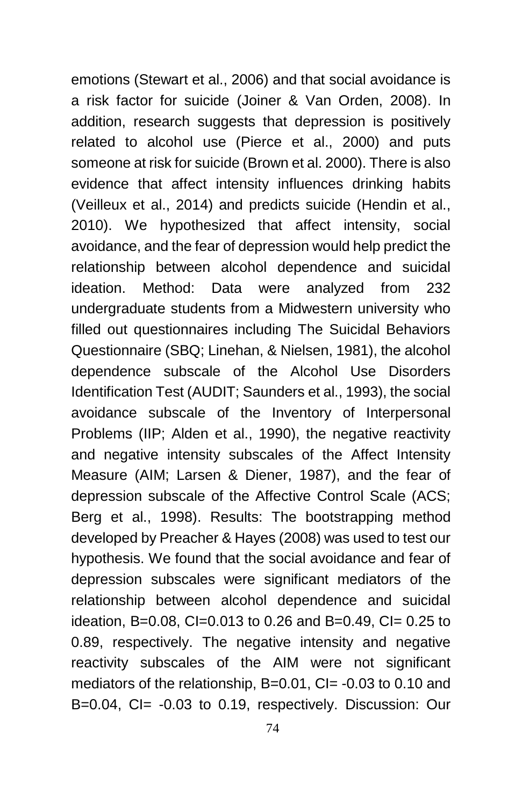emotions (Stewart et al., 2006) and that social avoidance is a risk factor for suicide (Joiner & Van Orden, 2008). In addition, research suggests that depression is positively related to alcohol use (Pierce et al., 2000) and puts someone at risk for suicide (Brown et al. 2000). There is also evidence that affect intensity influences drinking habits (Veilleux et al., 2014) and predicts suicide (Hendin et al., 2010). We hypothesized that affect intensity, social avoidance, and the fear of depression would help predict the relationship between alcohol dependence and suicidal ideation. Method: Data were analyzed from 232 undergraduate students from a Midwestern university who filled out questionnaires including The Suicidal Behaviors Questionnaire (SBQ; Linehan, & Nielsen, 1981), the alcohol dependence subscale of the Alcohol Use Disorders Identification Test (AUDIT; Saunders et al., 1993), the social avoidance subscale of the Inventory of Interpersonal Problems (IIP; Alden et al., 1990), the negative reactivity and negative intensity subscales of the Affect Intensity Measure (AIM; Larsen & Diener, 1987), and the fear of depression subscale of the Affective Control Scale (ACS; Berg et al., 1998). Results: The bootstrapping method developed by Preacher & Hayes (2008) was used to test our hypothesis. We found that the social avoidance and fear of depression subscales were significant mediators of the relationship between alcohol dependence and suicidal ideation, B=0.08, CI=0.013 to 0.26 and B=0.49, CI= 0.25 to 0.89, respectively. The negative intensity and negative reactivity subscales of the AIM were not significant mediators of the relationship, B=0.01, CI= -0.03 to 0.10 and B=0.04, CI= -0.03 to 0.19, respectively. Discussion: Our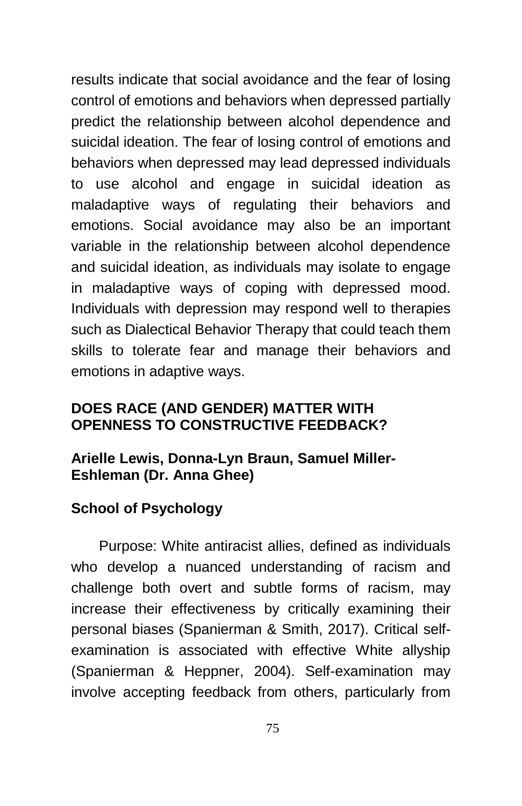results indicate that social avoidance and the fear of losing control of emotions and behaviors when depressed partially predict the relationship between alcohol dependence and suicidal ideation. The fear of losing control of emotions and behaviors when depressed may lead depressed individuals to use alcohol and engage in suicidal ideation as maladaptive ways of regulating their behaviors and emotions. Social avoidance may also be an important variable in the relationship between alcohol dependence and suicidal ideation, as individuals may isolate to engage in maladaptive ways of coping with depressed mood. Individuals with depression may respond well to therapies such as Dialectical Behavior Therapy that could teach them skills to tolerate fear and manage their behaviors and emotions in adaptive ways.

### **DOES RACE (AND GENDER) MATTER WITH OPENNESS TO CONSTRUCTIVE FEEDBACK?**

### **Arielle Lewis, Donna-Lyn Braun, Samuel Miller-Eshleman (Dr. Anna Ghee)**

# **School of Psychology**

Purpose: White antiracist allies, defined as individuals who develop a nuanced understanding of racism and challenge both overt and subtle forms of racism, may increase their effectiveness by critically examining their personal biases (Spanierman & Smith, 2017). Critical selfexamination is associated with effective White allyship (Spanierman & Heppner, 2004). Self-examination may involve accepting feedback from others, particularly from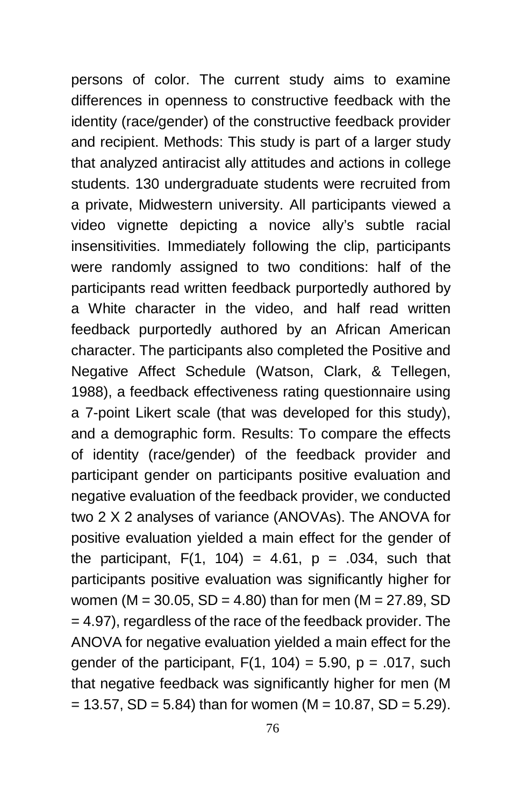persons of color. The current study aims to examine differences in openness to constructive feedback with the identity (race/gender) of the constructive feedback provider and recipient. Methods: This study is part of a larger study that analyzed antiracist ally attitudes and actions in college students. 130 undergraduate students were recruited from a private, Midwestern university. All participants viewed a video vignette depicting a novice ally's subtle racial insensitivities. Immediately following the clip, participants were randomly assigned to two conditions: half of the participants read written feedback purportedly authored by a White character in the video, and half read written feedback purportedly authored by an African American character. The participants also completed the Positive and Negative Affect Schedule (Watson, Clark, & Tellegen, 1988), a feedback effectiveness rating questionnaire using a 7-point Likert scale (that was developed for this study), and a demographic form. Results: To compare the effects of identity (race/gender) of the feedback provider and participant gender on participants positive evaluation and negative evaluation of the feedback provider, we conducted two 2 X 2 analyses of variance (ANOVAs). The ANOVA for positive evaluation yielded a main effect for the gender of the participant,  $F(1, 104) = 4.61$ ,  $p = .034$ , such that participants positive evaluation was significantly higher for women (M = 30.05, SD = 4.80) than for men (M = 27.89, SD = 4.97), regardless of the race of the feedback provider. The ANOVA for negative evaluation yielded a main effect for the gender of the participant,  $F(1, 104) = 5.90$ ,  $p = .017$ , such that negative feedback was significantly higher for men (M  $= 13.57$ , SD = 5.84) than for women (M = 10.87, SD = 5.29).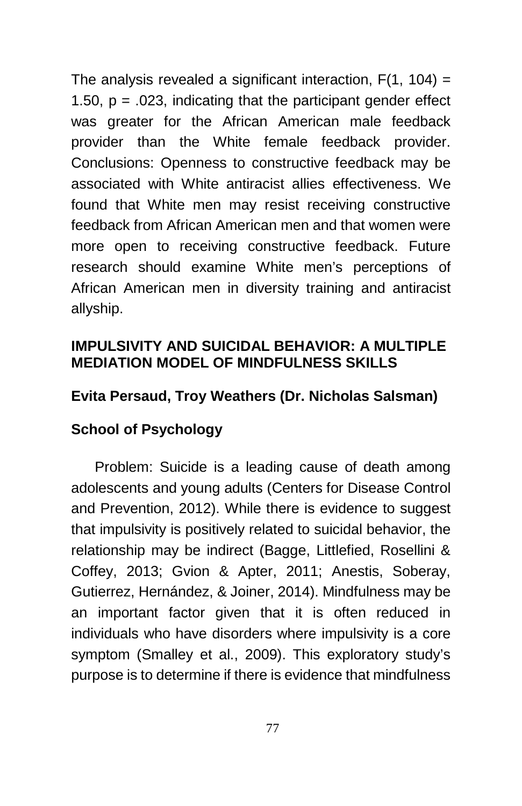The analysis revealed a significant interaction,  $F(1, 104) =$ 1.50,  $p = 0.023$ , indicating that the participant gender effect was greater for the African American male feedback provider than the White female feedback provider. Conclusions: Openness to constructive feedback may be associated with White antiracist allies effectiveness. We found that White men may resist receiving constructive feedback from African American men and that women were more open to receiving constructive feedback. Future research should examine White men's perceptions of African American men in diversity training and antiracist allyship.

## **IMPULSIVITY AND SUICIDAL BEHAVIOR: A MULTIPLE MEDIATION MODEL OF MINDFULNESS SKILLS**

# **Evita Persaud, Troy Weathers (Dr. Nicholas Salsman)**

# **School of Psychology**

Problem: Suicide is a leading cause of death among adolescents and young adults (Centers for Disease Control and Prevention, 2012). While there is evidence to suggest that impulsivity is positively related to suicidal behavior, the relationship may be indirect (Bagge, Littlefied, Rosellini & Coffey, 2013; Gvion & Apter, 2011; Anestis, Soberay, Gutierrez, Hernández, & Joiner, 2014). Mindfulness may be an important factor given that it is often reduced in individuals who have disorders where impulsivity is a core symptom (Smalley et al., 2009). This exploratory study's purpose is to determine if there is evidence that mindfulness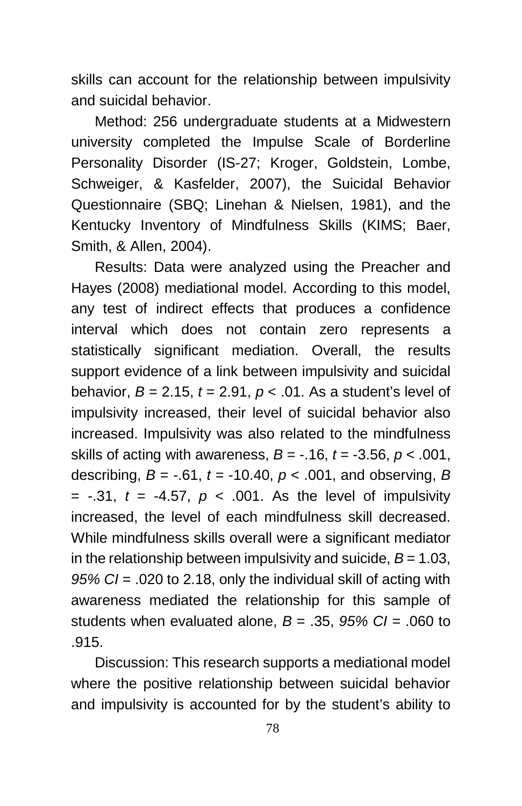skills can account for the relationship between impulsivity and suicidal behavior.

Method: 256 undergraduate students at a Midwestern university completed the Impulse Scale of Borderline Personality Disorder (IS-27; Kroger, Goldstein, Lombe, Schweiger, & Kasfelder, 2007), the Suicidal Behavior Questionnaire (SBQ; Linehan & Nielsen, 1981), and the Kentucky Inventory of Mindfulness Skills (KIMS; Baer, Smith, & Allen, 2004).

Results: Data were analyzed using the Preacher and Hayes (2008) mediational model. According to this model, any test of indirect effects that produces a confidence interval which does not contain zero represents a statistically significant mediation. Overall, the results support evidence of a link between impulsivity and suicidal behavior,  $B = 2.15$ ,  $t = 2.91$ ,  $p < .01$ . As a student's level of impulsivity increased, their level of suicidal behavior also increased. Impulsivity was also related to the mindfulness skills of acting with awareness,  $B = -16$ ,  $t = -3.56$ ,  $p < .001$ , describing,  $B = -.61$ ,  $t = -10.40$ ,  $p < .001$ , and observing,  $B$  $= -0.31$ ,  $t = -4.57$ ,  $p < 0.001$ . As the level of impulsivity increased, the level of each mindfulness skill decreased. While mindfulness skills overall were a significant mediator in the relationship between impulsivity and suicide,  $B = 1.03$ , *95% CI* = .020 to 2.18, only the individual skill of acting with awareness mediated the relationship for this sample of students when evaluated alone, *B* = .35, *95% CI* = .060 to .915.

Discussion: This research supports a mediational model where the positive relationship between suicidal behavior and impulsivity is accounted for by the student's ability to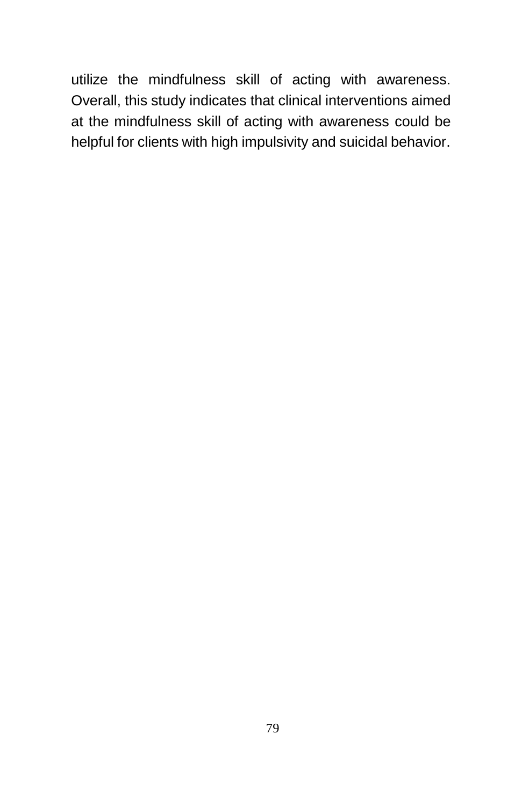utilize the mindfulness skill of acting with awareness. Overall, this study indicates that clinical interventions aimed at the mindfulness skill of acting with awareness could be helpful for clients with high impulsivity and suicidal behavior.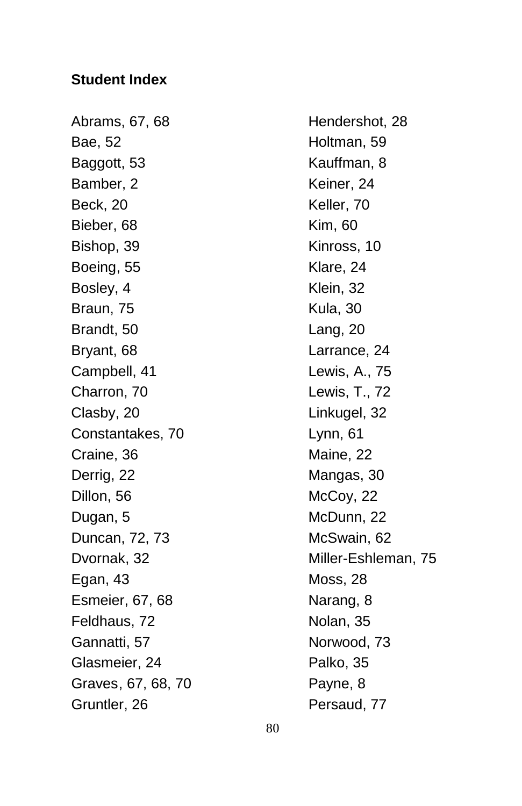### **Student Index**

Abrams, 67, 68 Hendershot, 28 Bae, 52 **Holtman**, 59 Baggott, 53 Kauffman, 8 Bamber, 2 Keiner, 24 Beck, 20 Keller, 70 Bieber, 68 Kim, 60 Bishop, 39 Kinross, 10 Boeing, 55 Klare, 24 Bosley, 4 Klein, 32 Braun, 75 Kula, 30 Brandt, 50 Lang, 20 Bryant, 68 Larrance, 24 Campbell, 41 Lewis, A., 75 Charron, 70 Lewis, T., 72 Clasby, 20 Linkugel, 32 Constantakes, 70 Lynn, 61 Craine, 36 Maine, 22 Derrig, 22 Mangas, 30 Dillon, 56 McCoy, 22 Dugan, 5 McDunn, 22 Duncan, 72, 73 McSwain, 62 Egan, 43 Moss, 28 Esmeier, 67, 68 Narang, 8 Feldhaus, 72 Nolan, 35 Gannatti, 57 Norwood, 73 Glasmeier, 24 Palko, 35 Graves, 67, 68, 70 Payne, 8 Gruntler, 26 **Persaud, 77** 

Dvornak, 32 Miller-Eshleman, 75